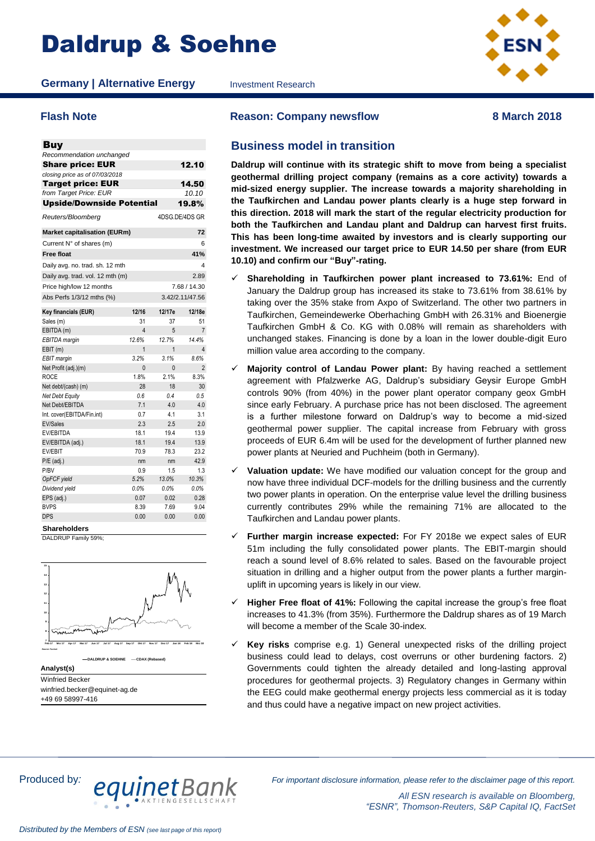# Daldrup & Soehne

**Germany | Alternative Energy** Investment Research



| <b>Buy</b>                          |                |                |                 |
|-------------------------------------|----------------|----------------|-----------------|
| Recommendation unchanged            |                |                |                 |
| <b>Share price: EUR</b>             |                |                | 12.10           |
| closing price as of 07/03/2018      |                |                |                 |
| <b>Target price: EUR</b>            |                |                | 14.50           |
| from Target Price: EUR              |                |                | 10.10           |
| <b>Upside/Downside Potential</b>    |                |                | 19.8%           |
| Reuters/Bloomberg                   |                | 4DSG.DE/4DS GR |                 |
| <b>Market capitalisation (EURm)</b> |                |                | 72              |
| Current N° of shares (m)            |                |                | 6               |
| <b>Free float</b>                   |                |                | 41%             |
| Daily avg. no. trad. sh. 12 mth     |                |                | 4               |
| Daily avg. trad. vol. 12 mth (m)    |                |                | 2.89            |
| Price high/low 12 months            |                |                | 7.68 / 14.30    |
| Abs Perfs 1/3/12 mths (%)           |                |                | 3.42/2.11/47.56 |
| Key financials (EUR)                | 12/16          | 12/17e         | 12/18e          |
| Sales (m)                           | 31             | 37             | 51              |
| EBITDA (m)                          | 4              | 5              | $\overline{7}$  |
| EBITDA margin                       | 12.6%          | 12.7%          | 14.4%           |
| EBIT(m)                             | $\overline{1}$ | $\overline{1}$ | $\overline{4}$  |
| <b>EBIT</b> margin                  | 3.2%           | 3.1%           | 8.6%            |
| Net Profit (adj.)(m)                | $\Omega$       | $\Omega$       | $\overline{2}$  |
| <b>ROCE</b>                         | 1.8%           | 2.1%           | 8.3%            |
| Net debt/(cash) (m)                 | 28             | 18             | 30              |
| Net Debt Equity                     | 0.6            | 0.4            | 0.5             |
| Net Debt/EBITDA                     | 7.1            | 4.0            | 4.0             |
| Int. cover(EBITDA/Fin.int)          | 0.7            | 4.1            | 3.1             |
| <b>EV/Sales</b>                     | 2.3            | 2.5            | 2.0             |
| EV/EBITDA                           | 18.1           | 19.4           | 13.9            |
| EV/EBITDA (adj.)                    | 18.1           | 19.4           | 13.9            |
| <b>EV/EBIT</b>                      | 70.9           | 78.3           | 23.2            |
| $P/E$ (adj.)                        | nm             | nm             | 42.9            |
| P/BV                                | 0.9            | 1.5            | 1.3             |
| OpFCF yield                         | 5.2%           | 13.0%          | 10.3%           |
| Dividend yield                      | 0.0%           | 0.0%           | 0.0%            |
| EPS (adj.)                          | 0.07           | 0.02           | 0.28            |
| <b>BVPS</b>                         | 8.39           | 7.69           | 9.04            |
| DPS                                 | 0.00           | 0.00           | 0.00            |

**Shareholders**

DALDRUP Family 59%



Winfried Becker winfried.becker@equinet-ag.de +49 69 58997-416

**Flash Note Reason: Company newsflow 8 March 2018**

# **Business model in transition**

**Daldrup will continue with its strategic shift to move from being a specialist geothermal drilling project company (remains as a core activity) towards a mid-sized energy supplier. The increase towards a majority shareholding in the Taufkirchen and Landau power plants clearly is a huge step forward in this direction. 2018 will mark the start of the regular electricity production for both the Taufkirchen and Landau plant and Daldrup can harvest first fruits. This has been long-time awaited by investors and is clearly supporting our investment. We increased our target price to EUR 14.50 per share (from EUR 10.10) and confirm our "Buy"-rating.**

- **Shareholding in Taufkirchen power plant increased to 73.61%:** End of January the Daldrup group has increased its stake to 73.61% from 38.61% by taking over the 35% stake from Axpo of Switzerland. The other two partners in Taufkirchen, Gemeindewerke Oberhaching GmbH with 26.31% and Bioenergie Taufkirchen GmbH & Co. KG with 0.08% will remain as shareholders with unchanged stakes. Financing is done by a loan in the lower double-digit Euro million value area according to the company.
- **Majority control of Landau Power plant:** By having reached a settlement agreement with Pfalzwerke AG, Daldrup's subsidiary Geysir Europe GmbH controls 90% (from 40%) in the power plant operator company geox GmbH since early February. A purchase price has not been disclosed. The agreement is a further milestone forward on Daldrup's way to become a mid-sized geothermal power supplier. The capital increase from February with gross proceeds of EUR 6.4m will be used for the development of further planned new power plants at Neuried and Puchheim (both in Germany).
- **Valuation update:** We have modified our valuation concept for the group and now have three individual DCF-models for the drilling business and the currently two power plants in operation. On the enterprise value level the drilling business currently contributes 29% while the remaining 71% are allocated to the Taufkirchen and Landau power plants.
- **Further margin increase expected:** For FY 2018e we expect sales of EUR 51m including the fully consolidated power plants. The EBIT-margin should reach a sound level of 8.6% related to sales. Based on the favourable project situation in drilling and a higher output from the power plants a further marginuplift in upcoming years is likely in our view.
- **Higher Free float of 41%:** Following the capital increase the group's free float increases to 41.3% (from 35%). Furthermore the Daldrup shares as of 19 March will become a member of the Scale 30-index.
- **Key risks** comprise e.g. 1) General unexpected risks of the drilling project business could lead to delays, cost overruns or other burdening factors. 2) Governments could tighten the already detailed and long-lasting approval procedures for geothermal projects. 3) Regulatory changes in Germany within the EEG could make geothermal energy projects less commercial as it is today and thus could have a negative impact on new project activities.



*All ESN research is available on Bloomberg, "ESNR", Thomson-Reuters, S&P Capital IQ, FactSet*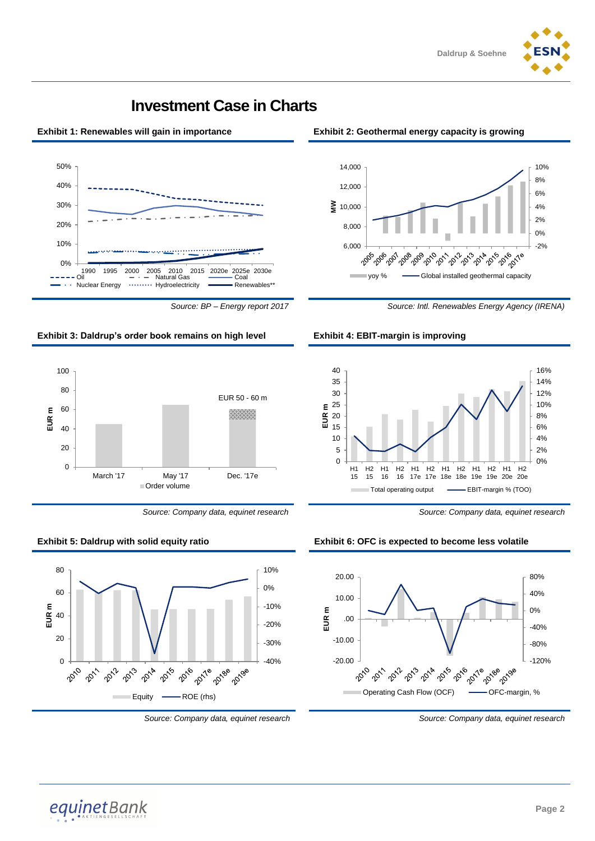



# **Investment Case in Charts**







*Source: Company data, equinet research Source: Company data, equinet research*



#### **Exhibit 1: Renewables will gain in importance Exhibit 2: Geothermal energy capacity is growing**











*Source: Company data, equinet research Source: Company data, equinet research*

equinetBank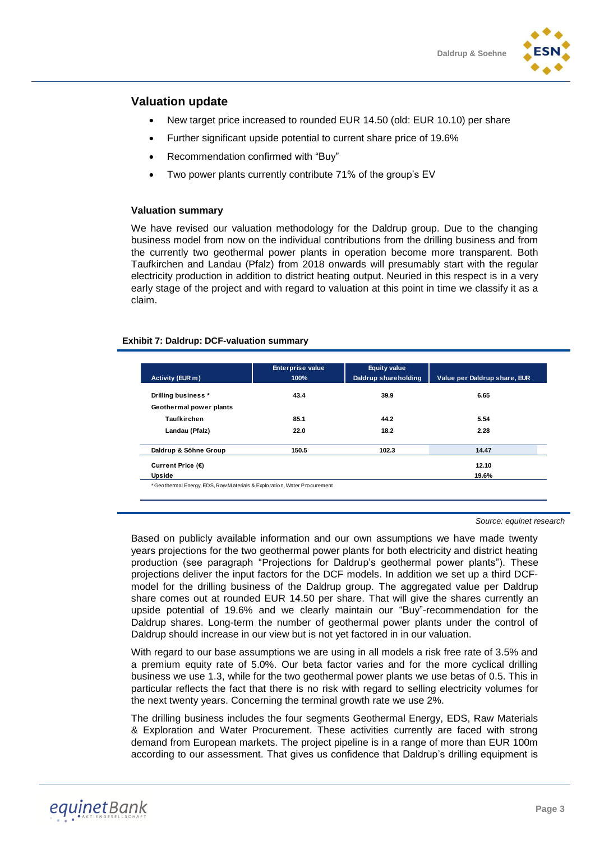

# **Valuation update**

- New target price increased to rounded EUR 14.50 (old: EUR 10.10) per share
- Further significant upside potential to current share price of 19.6%
- Recommendation confirmed with "Buy"
- Two power plants currently contribute 71% of the group's EV

#### **Valuation summary**

We have revised our valuation methodology for the Daldrup group. Due to the changing business model from now on the individual contributions from the drilling business and from the currently two geothermal power plants in operation become more transparent. Both Taufkirchen and Landau (Pfalz) from 2018 onwards will presumably start with the regular electricity production in addition to district heating output. Neuried in this respect is in a very early stage of the project and with regard to valuation at this point in time we classify it as a claim.

#### **Exhibit 7: Daldrup: DCF-valuation summary**

| Activity (EUR m)        | <b>Enterprise value</b><br>100% | <b>Equity value</b><br>Daldrup shareholding | Value per Daldrup share, EUR |
|-------------------------|---------------------------------|---------------------------------------------|------------------------------|
| Drilling business *     | 43.4                            | 39.9                                        | 6.65                         |
| Geothermal power plants |                                 |                                             |                              |
| Taufkirchen             | 85.1                            | 44.2                                        | 5.54                         |
| Landau (Pfalz)          | 22.0                            | 18.2                                        | 2.28                         |
| Daldrup & Söhne Group   | 150.5                           | 102.3                                       | 14.47                        |
| Current Price (€)       |                                 |                                             | 12.10                        |
| Upside                  |                                 |                                             | 19.6%                        |

*Source: equinet research*

Based on publicly available information and our own assumptions we have made twenty years projections for the two geothermal power plants for both electricity and district heating production (see paragraph "Projections for Daldrup's geothermal power plants"). These projections deliver the input factors for the DCF models. In addition we set up a third DCFmodel for the drilling business of the Daldrup group. The aggregated value per Daldrup share comes out at rounded EUR 14.50 per share. That will give the shares currently an upside potential of 19.6% and we clearly maintain our "Buy"-recommendation for the Daldrup shares. Long-term the number of geothermal power plants under the control of Daldrup should increase in our view but is not yet factored in in our valuation.

With regard to our base assumptions we are using in all models a risk free rate of 3.5% and a premium equity rate of 5.0%. Our beta factor varies and for the more cyclical drilling business we use 1.3, while for the two geothermal power plants we use betas of 0.5. This in particular reflects the fact that there is no risk with regard to selling electricity volumes for the next twenty years. Concerning the terminal growth rate we use 2%.

The drilling business includes the four segments Geothermal Energy, EDS, Raw Materials & Exploration and Water Procurement. These activities currently are faced with strong demand from European markets. The project pipeline is in a range of more than EUR 100m according to our assessment. That gives us confidence that Daldrup's drilling equipment is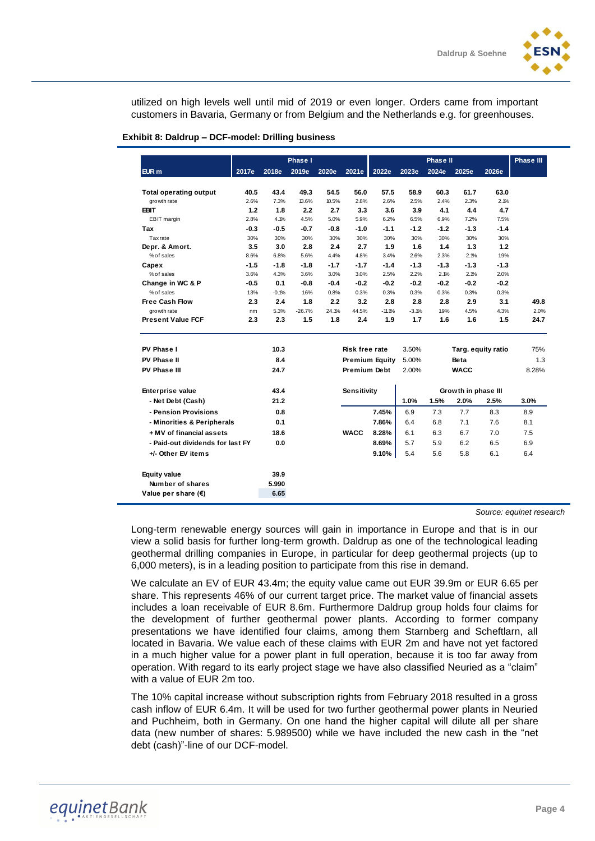utilized on high levels well until mid of 2019 or even longer. Orders came from important customers in Bavaria, Germany or from Belgium and the Netherlands e.g. for greenhouses.

|                                  |        |         | Phase I  |        |                       |                       |         | <b>Phase II</b> |                     |                    | Phase III |
|----------------------------------|--------|---------|----------|--------|-----------------------|-----------------------|---------|-----------------|---------------------|--------------------|-----------|
| EUR <sub>m</sub>                 | 2017e  | 2018e   | 2019e    | 2020e  | 2021e                 | 2022e                 | 2023e   | 2024e           | 2025e               | 2026e              |           |
| <b>Total operating output</b>    | 40.5   | 43.4    | 49.3     | 54.5   | 56.0                  | 57.5                  | 58.9    | 60.3            | 61.7                | 63.0               |           |
| growth rate                      | 2.6%   | 7.3%    | 13.6%    | 10.5%  | 2.8%                  | 2.6%                  | 2.5%    | 2.4%            | 2.3%                | 2.1%               |           |
| <b>EBIT</b>                      | 1.2    | 1.8     | 2.2      | 2.7    | 3.3                   | 3.6                   | 3.9     | 4.1             | 4.4                 | 4.7                |           |
| EBIT margin                      | 2.8%   | 4.1%    | 4.5%     | 5.0%   | 5.9%                  | 6.2%                  | 6.5%    | 6.9%            | 7.2%                | 7.5%               |           |
| Tax                              | $-0.3$ | $-0.5$  | $-0.7$   | $-0.8$ | $-1.0$                | $-1.1$                | $-1.2$  | $-1.2$          | $-1.3$              | $-1.4$             |           |
| <b>Tax</b> rate                  | 30%    | 30%     | 30%      | 30%    | 30%                   | 30%                   | 30%     | 30%             | 30%                 | 30%                |           |
| Depr. & Amort.                   | 3.5    | 3.0     | 2.8      | 2.4    | 2.7                   | 1.9                   | 1.6     | 1.4             | 1.3                 | 1.2                |           |
| % of sales                       | 8.6%   | 6.8%    | 5.6%     | 4.4%   | 4.8%                  | 3.4%                  | 2.6%    | 2.3%            | 2.1%                | 1.9%               |           |
| Capex                            | $-1.5$ | $-1.8$  | $-1.8$   | $-1.7$ | $-1.7$                | $-1.4$                | $-1.3$  | $-1.3$          | $-1.3$              | $-1.3$             |           |
| % of sales                       | 3.6%   | 4.3%    | 3.6%     | 3.0%   | 3.0%                  | 2.5%                  | 2.2%    | 2.1%            | 2.1%                | 2.0%               |           |
| Change in WC & P                 | $-0.5$ | 0.1     | -0.8     | $-0.4$ | $-0.2$                | $-0.2$                | $-0.2$  | $-0.2$          | $-0.2$              | $-0.2$             |           |
| %of sales                        | 1.3%   | $-0.1%$ | 1.6%     | 0.8%   | 0.3%                  | 0.3%                  | 0.3%    | 0.3%            | 0.3%                | 0.3%               |           |
| <b>Free Cash Flow</b>            | 2.3    | 2.4     | 1.8      | 2.2    | 3.2                   | 2.8                   | 2.8     | 2.8             | 2.9                 | 3.1                | 49.8      |
| growth rate                      | nm     | 5.3%    | $-26.7%$ | 24.1%  | 44.5%                 | $-11.1%$              | $-3.1%$ | 1.9%            | 4.5%                | 4.3%               | 2.0%      |
| <b>Present Value FCF</b>         | 2.3    | 2.3     | 1.5      | 1.8    | 2.4                   | 1.9                   | 1.7     | 1.6             | 1.6                 | 1.5                | 24.7      |
|                                  |        |         |          |        |                       |                       |         |                 |                     |                    |           |
| PV Phase I                       |        | 10.3    |          |        | <b>Risk free rate</b> |                       | 3.50%   |                 |                     | Targ. equity ratio | 75%       |
| PV Phase II                      |        | 8.4     |          |        |                       | <b>Premium Equity</b> | 5.00%   |                 | Beta                |                    | 1.3       |
| PV Phase III                     |        | 24.7    |          |        | Premium Debt          |                       | 2.00%   |                 | <b>WACC</b>         |                    | 8.28%     |
| <b>Enterprise value</b>          |        | 43.4    |          |        | Sensitivity           |                       |         |                 | Growth in phase III |                    |           |
| - Net Debt (Cash)                |        | 21.2    |          |        |                       |                       | 1.0%    | 1.5%            | 2.0%                | 2.5%               | 3.0%      |
| - Pension Provisions             |        | 0.8     |          |        |                       | 7.45%                 | 6.9     | 7.3             | 7.7                 | 8.3                | 8.9       |
| - Minorities & Peripherals       |        | 0.1     |          |        |                       | 7.86%                 | 6.4     | 6.8             | 7.1                 | 7.6                | 8.1       |
| + MV of financial assets         |        | 18.6    |          |        | <b>WACC</b>           | 8.28%                 | 6.1     | 6.3             | 6.7                 | 7.0                | 7.5       |
| - Paid-out dividends for last FY |        | 0.0     |          |        |                       | 8.69%                 | 5.7     | 5.9             | 6.2                 | 6.5                | 6.9       |
| +/- Other EV items               |        |         |          |        |                       | 9.10%                 | 5.4     | 5.6             | 5.8                 | 6.1                | 6.4       |
|                                  |        |         |          |        |                       |                       |         |                 |                     |                    |           |
| <b>Equity value</b>              |        | 39.9    |          |        |                       |                       |         |                 |                     |                    |           |
| Number of shares                 |        | 5.990   |          |        |                       |                       |         |                 |                     |                    |           |
| Value per share $(\epsilon)$     |        | 6.65    |          |        |                       |                       |         |                 |                     |                    |           |

#### **Exhibit 8: Daldrup – DCF-model: Drilling business**

*Source: equinet research* 

Long-term renewable energy sources will gain in importance in Europe and that is in our view a solid basis for further long-term growth. Daldrup as one of the technological leading geothermal drilling companies in Europe, in particular for deep geothermal projects (up to 6,000 meters), is in a leading position to participate from this rise in demand.

We calculate an EV of EUR 43.4m; the equity value came out EUR 39.9m or EUR 6.65 per share. This represents 46% of our current target price. The market value of financial assets includes a loan receivable of EUR 8.6m. Furthermore Daldrup group holds four claims for the development of further geothermal power plants. According to former company presentations we have identified four claims, among them Starnberg and Scheftlarn, all located in Bavaria. We value each of these claims with EUR 2m and have not yet factored in a much higher value for a power plant in full operation, because it is too far away from operation. With regard to its early project stage we have also classified Neuried as a "claim" with a value of EUR 2m too.

The 10% capital increase without subscription rights from February 2018 resulted in a gross cash inflow of EUR 6.4m. It will be used for two further geothermal power plants in Neuried and Puchheim, both in Germany. On one hand the higher capital will dilute all per share data (new number of shares: 5.989500) while we have included the new cash in the "net debt (cash)"-line of our DCF-model.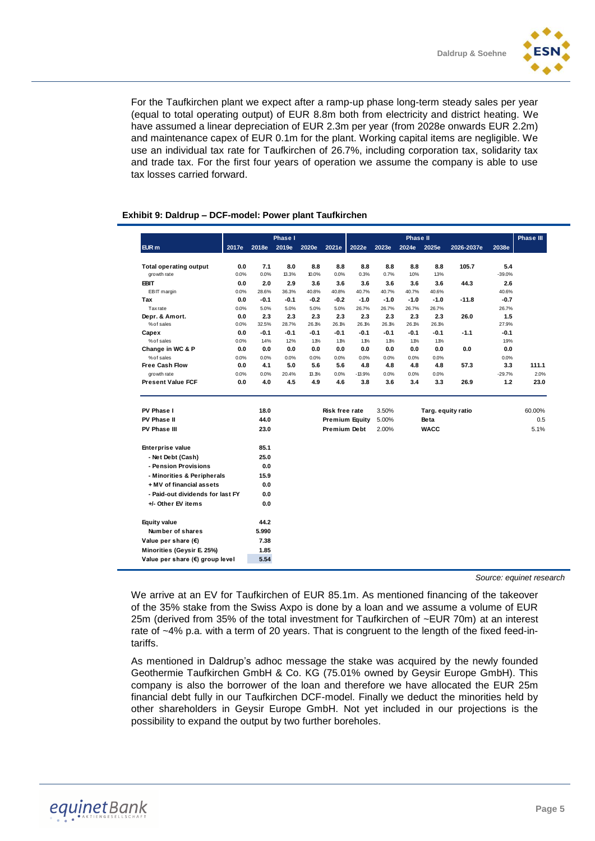

For the Taufkirchen plant we expect after a ramp-up phase long-term steady sales per year (equal to total operating output) of EUR 8.8m both from electricity and district heating. We have assumed a linear depreciation of EUR 2.3m per year (from 2028e onwards EUR 2.2m) and maintenance capex of EUR 0.1m for the plant. Working capital items are negligible. We use an individual tax rate for Taufkirchen of 26.7%, including corporation tax, solidarity tax and trade tax. For the first four years of operation we assume the company is able to use tax losses carried forward.

#### **Phase III EUR m 2017e 2018e 2019e 2020e 2021e 2022e 2023e 2024e 2025e 2026-2037e 2038e Total operating output 0.0 7.1 8.0 8.8 8.8 8.8 8.8 8.8 8.8 105.7 5.4** growth rate 0.0% 0.0% 13.3% 10.0% 0.0% 0.3% 0.7% 1.0% 1.3% -39.0% **EBIT 0.0 2.0 2.9 3.6 3.6 3.6 3.6 3.6 3.6 44.3 2.6** EBIT margin 0.0% 28.6% 36.3% 40.8% 40.8% 40.7% 40.7% 40.7% 40.6% 40.6% **Tax 0.0 -0.1 -0.1 -0.2 -0.2 -1.0 -1.0 -1.0 -1.0 -11.8 -0.7** Tax rate 0.0% 5.0% 5.0% 5.0% 5.0% 26.7% 26.7% 26.7% 26.7% 26.7% **Depr. & Amort. 0.0 2.3 2.3 2.3 2.3 2.3 2.3 2.3 2.3 26.0 1.5** % of sales 0.0% 32.5% 28.7% 26.1% 26.1% 26.1% 26.1% 26.1% 26.1% 27.9% **Capex 0.0 -0.1 -0.1 -0.1 -0.1 -0.1 -0.1 -0.1 -0.1 -1.1 -0.1** % of sales 0.0% 1.4% 1.2% 1.1% 1.1% 1.1% 1.1% 1.1% 1.1% 1.9% **Change in WC & P 0.0 0.0 0.0 0.0 0.0 0.0 0.0 0.0 0.0 0.0 0.0** % of sales 0.0% 0.0% 0.0% 0.0% 0.0% 0.0% 0.0% 0.0% 0.0% 0.0% **Free Cash Flow 0.0 4.1 5.0 5.6 5.6 4.8 4.8 4.8 4.8 57.3 3.3 111.1** growth rate 0.0% 0.0% 20.4% 13.1% 0.0% -13.9% 0.0% 0.0% 0.0% -29.7% 2.0% **Present Value FCF 0.0 4.0 4.5 4.9 4.6 3.8 3.6 3.4 3.3 26.9 1.2 23.0 PV Phase I 18.0 Risk free rate** 3.50% **Targ. equity ratio** 60.00% **PV Phase II 44.0 Premium Equity** 5.00% **Beta** 0.5 **PV Phase III 23.0 Premium Debt** 2.00% **WACC** 5.1% **Enterprise value 85.1 - Net Debt (Cash) 25.0 - Pension Provisions 0.0 - Minorities & Peripherals 15.9 + MV of financial assets 0.0 - Paid-out dividends for last FY 0.0 +/- Other EV items 0.0 Equity value 44.2 Number of shares 5.990 Value per share (€) 7.38 Minorities (Geysir E. 25%) 1.85 Value per share (€) group level 5.54 Phase I Phase II**

# **Exhibit 9: Daldrup – DCF-model: Power plant Taufkirchen**

*Source: equinet research* 

We arrive at an EV for Taufkirchen of EUR 85.1m. As mentioned financing of the takeover of the 35% stake from the Swiss Axpo is done by a loan and we assume a volume of EUR 25m (derived from 35% of the total investment for Taufkirchen of ~EUR 70m) at an interest rate of ~4% p.a. with a term of 20 years. That is congruent to the length of the fixed feed-intariffs.

As mentioned in Daldrup's adhoc message the stake was acquired by the newly founded Geothermie Taufkirchen GmbH & Co. KG (75.01% owned by Geysir Europe GmbH). This company is also the borrower of the loan and therefore we have allocated the EUR 25m financial debt fully in our Taufkirchen DCF-model. Finally we deduct the minorities held by other shareholders in Geysir Europe GmbH. Not yet included in our projections is the possibility to expand the output by two further boreholes.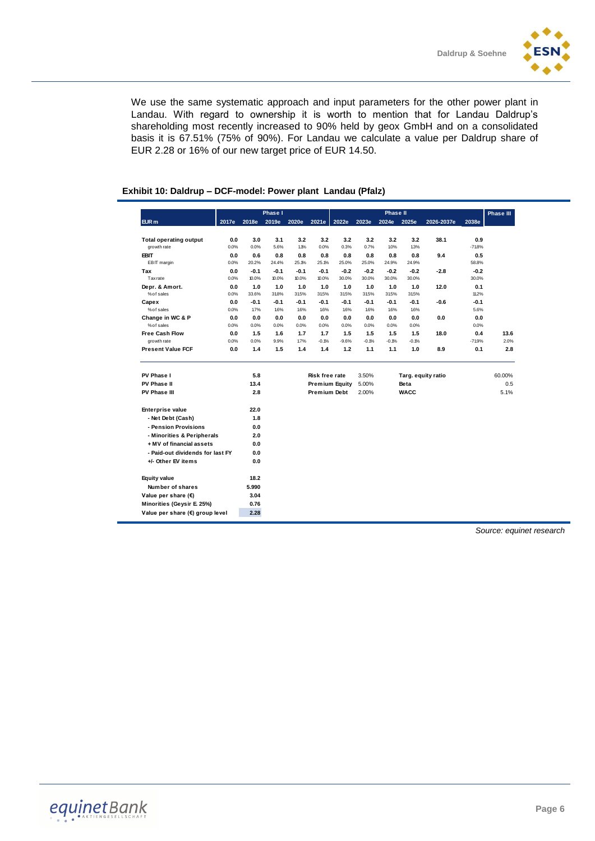We use the same systematic approach and input parameters for the other power plant in Landau. With regard to ownership it is worth to mention that for Landau Daldrup's shareholding most recently increased to 90% held by geox GmbH and on a consolidated basis it is 67.51% (75% of 90%). For Landau we calculate a value per Daldrup share of EUR 2.28 or 16% of our new target price of EUR 14.50.

| EUR <sub>m</sub><br>2018e<br>2019e<br>2020e<br>2021e<br>2022e<br>2023e<br>2025e<br>2026-2037e<br>2038e<br>2017e<br>2024e<br>0.0<br>3.0<br>3.1<br>3.2<br>3.2<br>3.2<br>3.2<br>3.2<br>3.2<br>38.1<br>0.9<br><b>Total operating output</b><br>5.6%<br>1.1%<br>0.0%<br>0.7%<br>1.0%<br>13%<br>growth rate<br>0.0%<br>0.0%<br>0.3%<br>$-718%$<br><b>EBIT</b><br>0.8<br>0.8<br>0.5<br>0.0<br>0.6<br>0.8<br>0.8<br>0.8<br>0.8<br>0.8<br>9.4<br>EBIT margin<br>0.0%<br>20.2%<br>24.4%<br>25.1%<br>25.1%<br>25.0%<br>25.0%<br>24.9%<br>24.9%<br>58.8%<br>$-0.1$<br>$-0.1$<br>$-0.1$<br>$-0.1$<br>$-0.2$<br>$-0.2$<br>$-0.2$<br>$-0.2$<br>$-2.8$<br>$-0.2$<br>Tax<br>0.0<br>30.0%<br><b>Tax rate</b><br>10.0%<br>10.0%<br>10.0%<br>30.0%<br>30.0%<br>30.0%<br>0.0%<br>10.0%<br>30.0%<br>1.0<br>1.0<br>Depr. & Amort.<br>0.0<br>1.0<br>1.0<br>1.0<br>1.0<br>1.0<br>1.0<br>12.0<br>0.1<br>% of sales<br>33.6%<br>31.8%<br>315%<br>31.5%<br>315%<br>31.5%<br>31.5%<br>315%<br>11.2%<br>0.0%<br>$-0.1$<br>$-0.1$<br>$-0.1$<br>$-0.1$<br>$-0.1$<br>$-0.1$<br>$-0.1$<br>$-0.1$<br>Capex<br>0.0<br>$-0.1$<br>$-0.6$<br>5.6%<br>% of sales<br>0.0%<br>1.7%<br>1.6%<br>16%<br>1.6%<br>1.6%<br>1.6%<br>1.6%<br>16%<br>Change in WC & P<br>0.0<br>0.0<br>0.0<br>0.0<br>0.0<br>0.0<br>0.0<br>0.0<br>0.0<br>0.0<br>0.0<br>% of sales<br>0.0%<br>0.0%<br>0.0%<br>0.0%<br>0.0%<br>0.0%<br>0.0%<br>0.0%<br>0.0%<br>0.0%<br><b>Free Cash Flow</b><br>1.5<br>1.6<br>1.7<br>1.7<br>1.5<br>1.5<br>1.5<br>0.4<br>0.0<br>1.5<br>18.0<br>0.0%<br>9.9%<br>17%<br>$-0.1%$<br>$-0.1%$<br>$-0.1%$<br>$-0.1%$<br>$-719%$<br>growth rate<br>0.0%<br>$-9.6%$<br><b>Present Value FCF</b><br>0.0<br>1.4<br>1.5<br>1.4<br>1.4<br>1.2<br>1.1<br>1.1<br>1.0<br>8.9<br>0.1<br>PV Phase I<br>5.8<br>Risk free rate<br>3.50%<br>Targ. equity ratio<br>60.00%<br>PV Phase II<br>13.4<br>5.00%<br>Beta<br>0.5<br><b>Premium Equity</b><br>PV Phase III<br>2.8<br>Premium Debt<br><b>WACC</b><br>5.1%<br>2.00%<br>22.0<br><b>Enterprise value</b><br>- Net Debt (Cash)<br>1.8<br>- Pension Provisions<br>0.0<br>- Minorities & Peripherals<br>2.0<br>+ MV of financial assets<br>0.0<br>- Paid-out dividends for last FY<br>0.0<br>+/- Other EV items<br>0.0<br>18.2<br><b>Equity value</b><br>Number of shares<br>5.990<br>Value per share (€)<br>3.04<br>Minorities (Geysir E. 25%)<br>0.76<br>Value per share (€) group level |  | Phase I |  |  |  | <b>Phase II</b> |  |  |  | Phase III |  |
|--------------------------------------------------------------------------------------------------------------------------------------------------------------------------------------------------------------------------------------------------------------------------------------------------------------------------------------------------------------------------------------------------------------------------------------------------------------------------------------------------------------------------------------------------------------------------------------------------------------------------------------------------------------------------------------------------------------------------------------------------------------------------------------------------------------------------------------------------------------------------------------------------------------------------------------------------------------------------------------------------------------------------------------------------------------------------------------------------------------------------------------------------------------------------------------------------------------------------------------------------------------------------------------------------------------------------------------------------------------------------------------------------------------------------------------------------------------------------------------------------------------------------------------------------------------------------------------------------------------------------------------------------------------------------------------------------------------------------------------------------------------------------------------------------------------------------------------------------------------------------------------------------------------------------------------------------------------------------------------------------------------------------------------------------------------------------------------------------------------------------------------------------------------------------------------------------------------------------------------------------------------------------------------------------------------------------------------------------------------------------------|--|---------|--|--|--|-----------------|--|--|--|-----------|--|
|                                                                                                                                                                                                                                                                                                                                                                                                                                                                                                                                                                                                                                                                                                                                                                                                                                                                                                                                                                                                                                                                                                                                                                                                                                                                                                                                                                                                                                                                                                                                                                                                                                                                                                                                                                                                                                                                                                                                                                                                                                                                                                                                                                                                                                                                                                                                                                                |  |         |  |  |  |                 |  |  |  |           |  |
|                                                                                                                                                                                                                                                                                                                                                                                                                                                                                                                                                                                                                                                                                                                                                                                                                                                                                                                                                                                                                                                                                                                                                                                                                                                                                                                                                                                                                                                                                                                                                                                                                                                                                                                                                                                                                                                                                                                                                                                                                                                                                                                                                                                                                                                                                                                                                                                |  |         |  |  |  |                 |  |  |  |           |  |
|                                                                                                                                                                                                                                                                                                                                                                                                                                                                                                                                                                                                                                                                                                                                                                                                                                                                                                                                                                                                                                                                                                                                                                                                                                                                                                                                                                                                                                                                                                                                                                                                                                                                                                                                                                                                                                                                                                                                                                                                                                                                                                                                                                                                                                                                                                                                                                                |  |         |  |  |  |                 |  |  |  |           |  |
|                                                                                                                                                                                                                                                                                                                                                                                                                                                                                                                                                                                                                                                                                                                                                                                                                                                                                                                                                                                                                                                                                                                                                                                                                                                                                                                                                                                                                                                                                                                                                                                                                                                                                                                                                                                                                                                                                                                                                                                                                                                                                                                                                                                                                                                                                                                                                                                |  |         |  |  |  |                 |  |  |  |           |  |
|                                                                                                                                                                                                                                                                                                                                                                                                                                                                                                                                                                                                                                                                                                                                                                                                                                                                                                                                                                                                                                                                                                                                                                                                                                                                                                                                                                                                                                                                                                                                                                                                                                                                                                                                                                                                                                                                                                                                                                                                                                                                                                                                                                                                                                                                                                                                                                                |  |         |  |  |  |                 |  |  |  |           |  |
|                                                                                                                                                                                                                                                                                                                                                                                                                                                                                                                                                                                                                                                                                                                                                                                                                                                                                                                                                                                                                                                                                                                                                                                                                                                                                                                                                                                                                                                                                                                                                                                                                                                                                                                                                                                                                                                                                                                                                                                                                                                                                                                                                                                                                                                                                                                                                                                |  |         |  |  |  |                 |  |  |  |           |  |
|                                                                                                                                                                                                                                                                                                                                                                                                                                                                                                                                                                                                                                                                                                                                                                                                                                                                                                                                                                                                                                                                                                                                                                                                                                                                                                                                                                                                                                                                                                                                                                                                                                                                                                                                                                                                                                                                                                                                                                                                                                                                                                                                                                                                                                                                                                                                                                                |  |         |  |  |  |                 |  |  |  |           |  |
|                                                                                                                                                                                                                                                                                                                                                                                                                                                                                                                                                                                                                                                                                                                                                                                                                                                                                                                                                                                                                                                                                                                                                                                                                                                                                                                                                                                                                                                                                                                                                                                                                                                                                                                                                                                                                                                                                                                                                                                                                                                                                                                                                                                                                                                                                                                                                                                |  |         |  |  |  |                 |  |  |  |           |  |
|                                                                                                                                                                                                                                                                                                                                                                                                                                                                                                                                                                                                                                                                                                                                                                                                                                                                                                                                                                                                                                                                                                                                                                                                                                                                                                                                                                                                                                                                                                                                                                                                                                                                                                                                                                                                                                                                                                                                                                                                                                                                                                                                                                                                                                                                                                                                                                                |  |         |  |  |  |                 |  |  |  |           |  |
|                                                                                                                                                                                                                                                                                                                                                                                                                                                                                                                                                                                                                                                                                                                                                                                                                                                                                                                                                                                                                                                                                                                                                                                                                                                                                                                                                                                                                                                                                                                                                                                                                                                                                                                                                                                                                                                                                                                                                                                                                                                                                                                                                                                                                                                                                                                                                                                |  |         |  |  |  |                 |  |  |  |           |  |
|                                                                                                                                                                                                                                                                                                                                                                                                                                                                                                                                                                                                                                                                                                                                                                                                                                                                                                                                                                                                                                                                                                                                                                                                                                                                                                                                                                                                                                                                                                                                                                                                                                                                                                                                                                                                                                                                                                                                                                                                                                                                                                                                                                                                                                                                                                                                                                                |  |         |  |  |  |                 |  |  |  |           |  |
|                                                                                                                                                                                                                                                                                                                                                                                                                                                                                                                                                                                                                                                                                                                                                                                                                                                                                                                                                                                                                                                                                                                                                                                                                                                                                                                                                                                                                                                                                                                                                                                                                                                                                                                                                                                                                                                                                                                                                                                                                                                                                                                                                                                                                                                                                                                                                                                |  |         |  |  |  |                 |  |  |  |           |  |
|                                                                                                                                                                                                                                                                                                                                                                                                                                                                                                                                                                                                                                                                                                                                                                                                                                                                                                                                                                                                                                                                                                                                                                                                                                                                                                                                                                                                                                                                                                                                                                                                                                                                                                                                                                                                                                                                                                                                                                                                                                                                                                                                                                                                                                                                                                                                                                                |  |         |  |  |  |                 |  |  |  |           |  |
|                                                                                                                                                                                                                                                                                                                                                                                                                                                                                                                                                                                                                                                                                                                                                                                                                                                                                                                                                                                                                                                                                                                                                                                                                                                                                                                                                                                                                                                                                                                                                                                                                                                                                                                                                                                                                                                                                                                                                                                                                                                                                                                                                                                                                                                                                                                                                                                |  |         |  |  |  |                 |  |  |  | 13.6      |  |
|                                                                                                                                                                                                                                                                                                                                                                                                                                                                                                                                                                                                                                                                                                                                                                                                                                                                                                                                                                                                                                                                                                                                                                                                                                                                                                                                                                                                                                                                                                                                                                                                                                                                                                                                                                                                                                                                                                                                                                                                                                                                                                                                                                                                                                                                                                                                                                                |  |         |  |  |  |                 |  |  |  | 2.0%      |  |
|                                                                                                                                                                                                                                                                                                                                                                                                                                                                                                                                                                                                                                                                                                                                                                                                                                                                                                                                                                                                                                                                                                                                                                                                                                                                                                                                                                                                                                                                                                                                                                                                                                                                                                                                                                                                                                                                                                                                                                                                                                                                                                                                                                                                                                                                                                                                                                                |  |         |  |  |  |                 |  |  |  | 2.8       |  |
|                                                                                                                                                                                                                                                                                                                                                                                                                                                                                                                                                                                                                                                                                                                                                                                                                                                                                                                                                                                                                                                                                                                                                                                                                                                                                                                                                                                                                                                                                                                                                                                                                                                                                                                                                                                                                                                                                                                                                                                                                                                                                                                                                                                                                                                                                                                                                                                |  |         |  |  |  |                 |  |  |  |           |  |
|                                                                                                                                                                                                                                                                                                                                                                                                                                                                                                                                                                                                                                                                                                                                                                                                                                                                                                                                                                                                                                                                                                                                                                                                                                                                                                                                                                                                                                                                                                                                                                                                                                                                                                                                                                                                                                                                                                                                                                                                                                                                                                                                                                                                                                                                                                                                                                                |  |         |  |  |  |                 |  |  |  |           |  |
|                                                                                                                                                                                                                                                                                                                                                                                                                                                                                                                                                                                                                                                                                                                                                                                                                                                                                                                                                                                                                                                                                                                                                                                                                                                                                                                                                                                                                                                                                                                                                                                                                                                                                                                                                                                                                                                                                                                                                                                                                                                                                                                                                                                                                                                                                                                                                                                |  |         |  |  |  |                 |  |  |  |           |  |
|                                                                                                                                                                                                                                                                                                                                                                                                                                                                                                                                                                                                                                                                                                                                                                                                                                                                                                                                                                                                                                                                                                                                                                                                                                                                                                                                                                                                                                                                                                                                                                                                                                                                                                                                                                                                                                                                                                                                                                                                                                                                                                                                                                                                                                                                                                                                                                                |  |         |  |  |  |                 |  |  |  |           |  |
|                                                                                                                                                                                                                                                                                                                                                                                                                                                                                                                                                                                                                                                                                                                                                                                                                                                                                                                                                                                                                                                                                                                                                                                                                                                                                                                                                                                                                                                                                                                                                                                                                                                                                                                                                                                                                                                                                                                                                                                                                                                                                                                                                                                                                                                                                                                                                                                |  |         |  |  |  |                 |  |  |  |           |  |
|                                                                                                                                                                                                                                                                                                                                                                                                                                                                                                                                                                                                                                                                                                                                                                                                                                                                                                                                                                                                                                                                                                                                                                                                                                                                                                                                                                                                                                                                                                                                                                                                                                                                                                                                                                                                                                                                                                                                                                                                                                                                                                                                                                                                                                                                                                                                                                                |  |         |  |  |  |                 |  |  |  |           |  |
|                                                                                                                                                                                                                                                                                                                                                                                                                                                                                                                                                                                                                                                                                                                                                                                                                                                                                                                                                                                                                                                                                                                                                                                                                                                                                                                                                                                                                                                                                                                                                                                                                                                                                                                                                                                                                                                                                                                                                                                                                                                                                                                                                                                                                                                                                                                                                                                |  |         |  |  |  |                 |  |  |  |           |  |
|                                                                                                                                                                                                                                                                                                                                                                                                                                                                                                                                                                                                                                                                                                                                                                                                                                                                                                                                                                                                                                                                                                                                                                                                                                                                                                                                                                                                                                                                                                                                                                                                                                                                                                                                                                                                                                                                                                                                                                                                                                                                                                                                                                                                                                                                                                                                                                                |  |         |  |  |  |                 |  |  |  |           |  |
|                                                                                                                                                                                                                                                                                                                                                                                                                                                                                                                                                                                                                                                                                                                                                                                                                                                                                                                                                                                                                                                                                                                                                                                                                                                                                                                                                                                                                                                                                                                                                                                                                                                                                                                                                                                                                                                                                                                                                                                                                                                                                                                                                                                                                                                                                                                                                                                |  |         |  |  |  |                 |  |  |  |           |  |
|                                                                                                                                                                                                                                                                                                                                                                                                                                                                                                                                                                                                                                                                                                                                                                                                                                                                                                                                                                                                                                                                                                                                                                                                                                                                                                                                                                                                                                                                                                                                                                                                                                                                                                                                                                                                                                                                                                                                                                                                                                                                                                                                                                                                                                                                                                                                                                                |  |         |  |  |  |                 |  |  |  |           |  |
|                                                                                                                                                                                                                                                                                                                                                                                                                                                                                                                                                                                                                                                                                                                                                                                                                                                                                                                                                                                                                                                                                                                                                                                                                                                                                                                                                                                                                                                                                                                                                                                                                                                                                                                                                                                                                                                                                                                                                                                                                                                                                                                                                                                                                                                                                                                                                                                |  |         |  |  |  |                 |  |  |  |           |  |
|                                                                                                                                                                                                                                                                                                                                                                                                                                                                                                                                                                                                                                                                                                                                                                                                                                                                                                                                                                                                                                                                                                                                                                                                                                                                                                                                                                                                                                                                                                                                                                                                                                                                                                                                                                                                                                                                                                                                                                                                                                                                                                                                                                                                                                                                                                                                                                                |  |         |  |  |  |                 |  |  |  |           |  |
|                                                                                                                                                                                                                                                                                                                                                                                                                                                                                                                                                                                                                                                                                                                                                                                                                                                                                                                                                                                                                                                                                                                                                                                                                                                                                                                                                                                                                                                                                                                                                                                                                                                                                                                                                                                                                                                                                                                                                                                                                                                                                                                                                                                                                                                                                                                                                                                |  |         |  |  |  |                 |  |  |  |           |  |
|                                                                                                                                                                                                                                                                                                                                                                                                                                                                                                                                                                                                                                                                                                                                                                                                                                                                                                                                                                                                                                                                                                                                                                                                                                                                                                                                                                                                                                                                                                                                                                                                                                                                                                                                                                                                                                                                                                                                                                                                                                                                                                                                                                                                                                                                                                                                                                                |  |         |  |  |  |                 |  |  |  |           |  |
|                                                                                                                                                                                                                                                                                                                                                                                                                                                                                                                                                                                                                                                                                                                                                                                                                                                                                                                                                                                                                                                                                                                                                                                                                                                                                                                                                                                                                                                                                                                                                                                                                                                                                                                                                                                                                                                                                                                                                                                                                                                                                                                                                                                                                                                                                                                                                                                |  |         |  |  |  |                 |  |  |  |           |  |
|                                                                                                                                                                                                                                                                                                                                                                                                                                                                                                                                                                                                                                                                                                                                                                                                                                                                                                                                                                                                                                                                                                                                                                                                                                                                                                                                                                                                                                                                                                                                                                                                                                                                                                                                                                                                                                                                                                                                                                                                                                                                                                                                                                                                                                                                                                                                                                                |  | 2.28    |  |  |  |                 |  |  |  |           |  |

# **Exhibit 10: Daldrup – DCF-model: Power plant Landau (Pfalz)**

*Source: equinet research*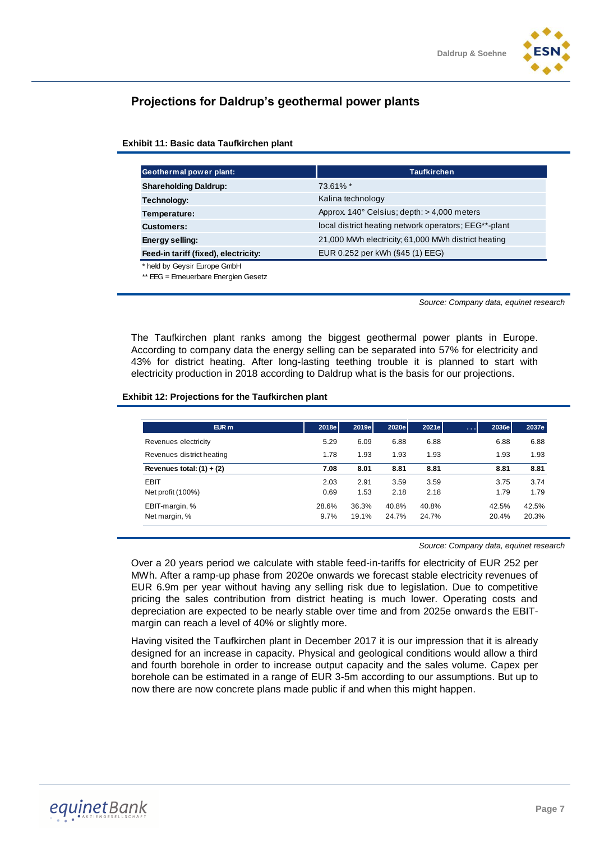# **Projections for Daldrup's geothermal power plants**

# **Exhibit 11: Basic data Taufkirchen plant**

| Geothermal power plant:              | <b>Taufkirchen</b>                                     |
|--------------------------------------|--------------------------------------------------------|
| <b>Shareholding Daldrup:</b>         | 73.61% *                                               |
| Technology:                          | Kalina technology                                      |
| Temperature:                         | Approx. $140^{\circ}$ Celsius; depth: $> 4,000$ meters |
| <b>Customers:</b>                    | local district heating network operators; EEG**-plant  |
| Energy selling:                      | 21,000 MWh electricity; 61,000 MWh district heating    |
| Feed-in tariff (fixed), electricity: | EUR 0.252 per kWh (§45 (1) EEG)                        |
| * held by Geysir Europe GmbH         |                                                        |
| ** EEG = Erneuerbare Energien Gesetz |                                                        |

*Source: Company data, equinet research*

The Taufkirchen plant ranks among the biggest geothermal power plants in Europe. According to company data the energy selling can be separated into 57% for electricity and 43% for district heating. After long-lasting teething trouble it is planned to start with electricity production in 2018 according to Daldrup what is the basis for our projections.

#### **Exhibit 12: Projections for the Taufkirchen plant**

| $EUR$ m                     | 2018e | 2019e | 2020e | 2021e | 2036e<br>المتعاد | 2037e |
|-----------------------------|-------|-------|-------|-------|------------------|-------|
| Revenues electricity        | 5.29  | 6.09  | 6.88  | 6.88  | 6.88             | 6.88  |
| Revenues district heating   | 1.78  | 1.93  | 1.93  | 1.93  | 1.93             | 1.93  |
| Revenues total: $(1) + (2)$ | 7.08  | 8.01  | 8.81  | 8.81  | 8.81             | 8.81  |
| <b>EBIT</b>                 | 2.03  | 2.91  | 3.59  | 3.59  | 3.75             | 3.74  |
| Net profit $(100\%)$        | 0.69  | 1.53  | 2.18  | 2.18  | 1.79             | 1.79  |
| EBIT-margin, %              | 28.6% | 36.3% | 40.8% | 40.8% | 42.5%            | 42.5% |
| Net margin, %               | 9.7%  | 19.1% | 24.7% | 24.7% | 20.4%            | 20.3% |

*Source: Company data, equinet research*

Over a 20 years period we calculate with stable feed-in-tariffs for electricity of EUR 252 per MWh. After a ramp-up phase from 2020e onwards we forecast stable electricity revenues of EUR 6.9m per year without having any selling risk due to legislation. Due to competitive pricing the sales contribution from district heating is much lower. Operating costs and depreciation are expected to be nearly stable over time and from 2025e onwards the EBITmargin can reach a level of 40% or slightly more.

Having visited the Taufkirchen plant in December 2017 it is our impression that it is already designed for an increase in capacity. Physical and geological conditions would allow a third and fourth borehole in order to increase output capacity and the sales volume. Capex per borehole can be estimated in a range of EUR 3-5m according to our assumptions. But up to now there are now concrete plans made public if and when this might happen.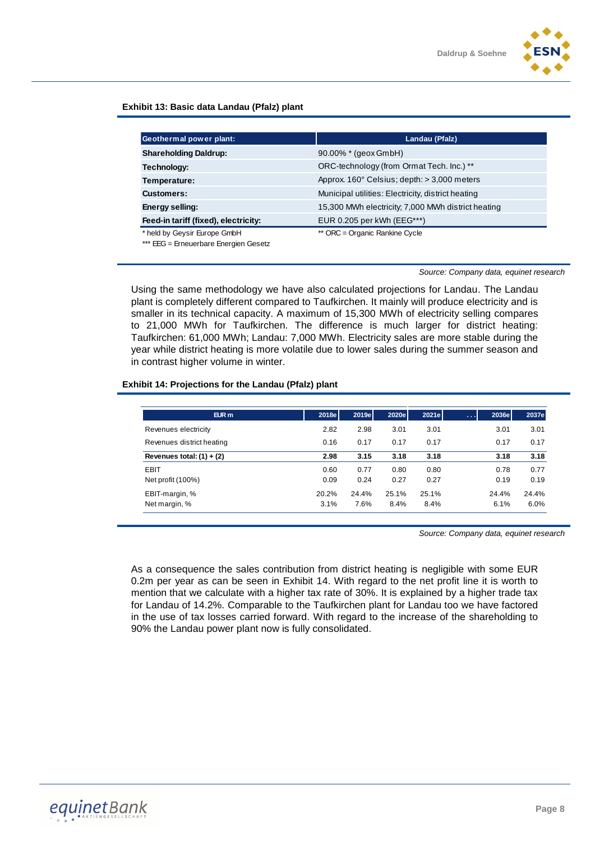

# **Exhibit 13: Basic data Landau (Pfalz) plant**

| Geothermal power plant:               | Landau (Pfalz)                                       |
|---------------------------------------|------------------------------------------------------|
| <b>Shareholding Daldrup:</b>          | 90.00% * (geox GmbH)                                 |
| Technology:                           | ORC-technology (from Ormat Tech. Inc.) **            |
| Temperature:                          | Approx. $160^\circ$ Celsius; depth: $> 3,000$ meters |
| <b>Customers:</b>                     | Municipal utilities: Electricity, district heating   |
| Energy selling:                       | 15,300 MWh electricity; 7,000 MWh district heating   |
| Feed-in tariff (fixed), electricity:  | EUR 0.205 per kWh (EEG***)                           |
| * held by Geysir Europe GmbH          | ** ORC = Organic Rankine Cycle                       |
| *** EEG = Erneuerbare Energien Gesetz |                                                      |

*Source: Company data, equinet research*

Using the same methodology we have also calculated projections for Landau. The Landau plant is completely different compared to Taufkirchen. It mainly will produce electricity and is smaller in its technical capacity. A maximum of 15,300 MWh of electricity selling compares to 21,000 MWh for Taufkirchen. The difference is much larger for district heating: Taufkirchen: 61,000 MWh; Landau: 7,000 MWh. Electricity sales are more stable during the year while district heating is more volatile due to lower sales during the summer season and in contrast higher volume in winter.

#### **Exhibit 14: Projections for the Landau (Pfalz) plant**

| $EUR$ m                     | 2018e | 2019e | 2020e | 2021e | 2036e<br>$\alpha$ , $\alpha$ , $\alpha$ | 2037e |
|-----------------------------|-------|-------|-------|-------|-----------------------------------------|-------|
| Revenues electricity        | 2.82  | 2.98  | 3.01  | 3.01  | 3.01                                    | 3.01  |
| Revenues district heating   | 0.16  | 0.17  | 0.17  | 0.17  | 0.17                                    | 0.17  |
| Revenues total: $(1) + (2)$ | 2.98  | 3.15  | 3.18  | 3.18  | 3.18                                    | 3.18  |
| <b>EBIT</b>                 | 0.60  | 0.77  | 0.80  | 0.80  | 0.78                                    | 0.77  |
| Net profit (100%)           | 0.09  | 0.24  | 0.27  | 0.27  | 0.19                                    | 0.19  |
| EBIT-margin, %              | 20.2% | 24.4% | 25.1% | 25.1% | 24.4%                                   | 24.4% |
| Net margin, %               | 3.1%  | 7.6%  | 8.4%  | 8.4%  | 6.1%                                    | 6.0%  |

*Source: Company data, equinet research*

As a consequence the sales contribution from district heating is negligible with some EUR 0.2m per year as can be seen in Exhibit 14. With regard to the net profit line it is worth to mention that we calculate with a higher tax rate of 30%. It is explained by a higher trade tax for Landau of 14.2%. Comparable to the Taufkirchen plant for Landau too we have factored in the use of tax losses carried forward. With regard to the increase of the shareholding to 90% the Landau power plant now is fully consolidated.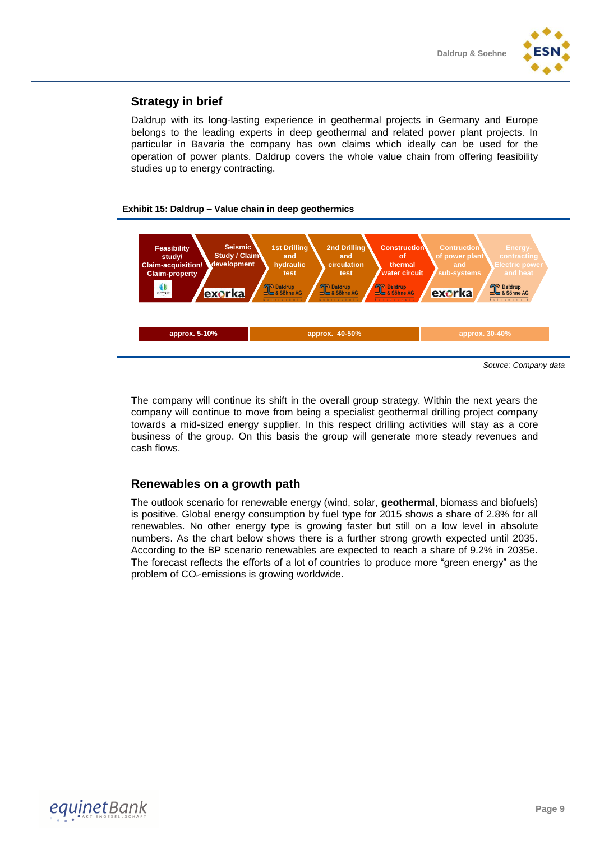# **Strategy in brief**

Daldrup with its long-lasting experience in geothermal projects in Germany and Europe belongs to the leading experts in deep geothermal and related power plant projects. In particular in Bavaria the company has own claims which ideally can be used for the operation of power plants. Daldrup covers the whole value chain from offering feasibility studies up to energy contracting.

# **Exhibit 15: Daldrup – Value chain in deep geothermics**



The company will continue its shift in the overall group strategy. Within the next years the company will continue to move from being a specialist geothermal drilling project company towards a mid-sized energy supplier. In this respect drilling activities will stay as a core business of the group. On this basis the group will generate more steady revenues and cash flows.

# **Renewables on a growth path**

The outlook scenario for renewable energy (wind, solar, **geothermal**, biomass and biofuels) is positive. Global energy consumption by fuel type for 2015 shows a share of 2.8% for all renewables. No other energy type is growing faster but still on a low level in absolute numbers. As the chart below shows there is a further strong growth expected until 2035. According to the BP scenario renewables are expected to reach a share of 9.2% in 2035e. The forecast reflects the efforts of a lot of countries to produce more "green energy" as the problem of CO²-emissions is growing worldwide.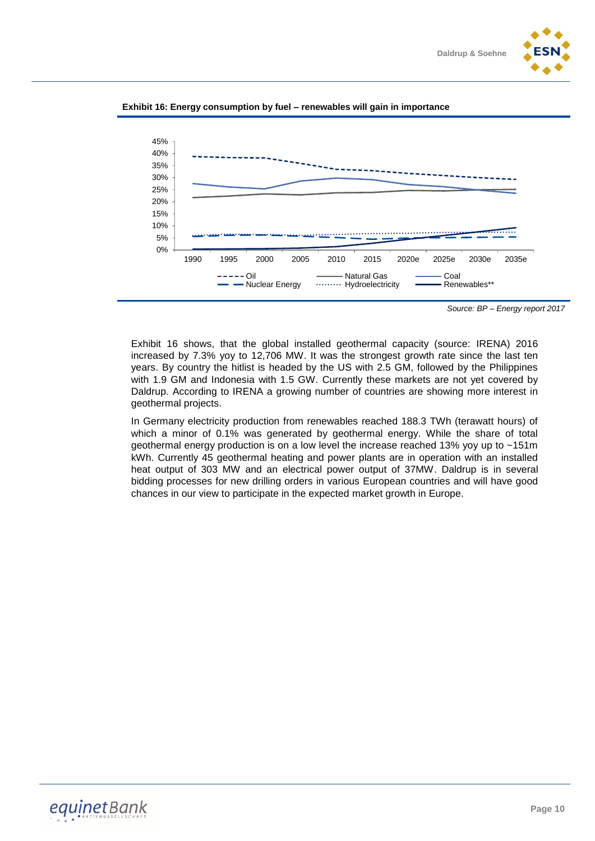





*Source: BP – Energy report 2017*

Exhibit 16 shows, that the global installed geothermal capacity (source: IRENA) 2016 increased by 7.3% yoy to 12,706 MW. It was the strongest growth rate since the last ten years. By country the hitlist is headed by the US with 2.5 GM, followed by the Philippines with 1.9 GM and Indonesia with 1.5 GW. Currently these markets are not yet covered by Daldrup. According to IRENA a growing number of countries are showing more interest in geothermal projects.

In Germany electricity production from renewables reached 188.3 TWh (terawatt hours) of which a minor of 0.1% was generated by geothermal energy. While the share of total geothermal energy production is on a low level the increase reached 13% yoy up to ~151m kWh. Currently 45 geothermal heating and power plants are in operation with an installed heat output of 303 MW and an electrical power output of 37MW. Daldrup is in several bidding processes for new drilling orders in various European countries and will have good chances in our view to participate in the expected market growth in Europe.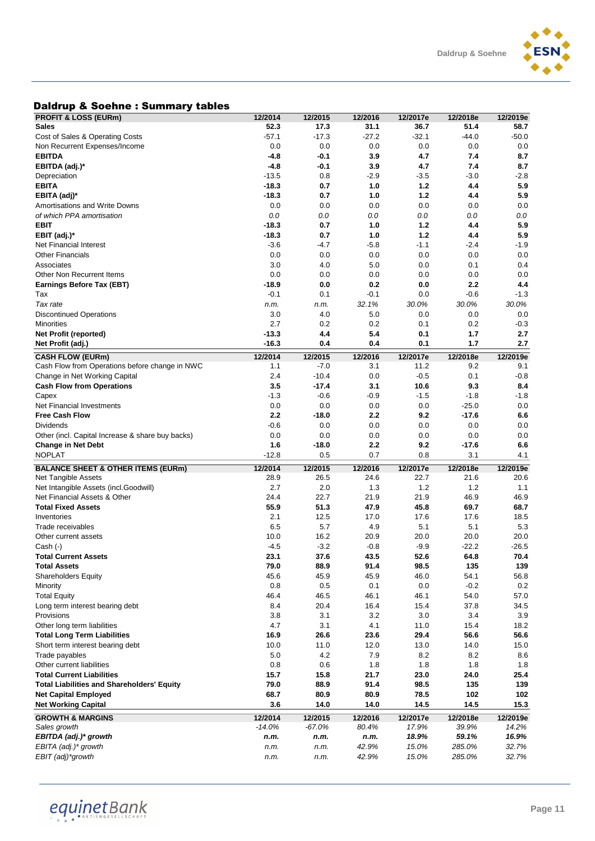

# Daldrup & Soehne : Summary tables

| <b>PROFIT &amp; LOSS (EURm)</b>                   | 12/2014   | 12/2015 | 12/2016 | 12/2017e | 12/2018e | 12/2019e |
|---------------------------------------------------|-----------|---------|---------|----------|----------|----------|
| Sales                                             | 52.3      | 17.3    | 31.1    | 36.7     | 51.4     | 58.7     |
| Cost of Sales & Operating Costs                   | $-57.1$   | $-17.3$ | $-27.2$ | $-32.1$  | $-44.0$  | $-50.0$  |
| Non Recurrent Expenses/Income                     | 0.0       | 0.0     | 0.0     | 0.0      | 0.0      | 0.0      |
| <b>EBITDA</b>                                     | $-4.8$    | $-0.1$  | 3.9     | 4.7      | 7.4      | 8.7      |
| EBITDA (adj.)*                                    | $-4.8$    | -0.1    | 3.9     | 4.7      | 7.4      | 8.7      |
| Depreciation                                      | $-13.5$   | 0.8     | $-2.9$  | $-3.5$   | $-3.0$   | $-2.8$   |
| EBITA                                             | $-18.3$   | 0.7     | 1.0     | 1.2      | 4.4      | 5.9      |
| EBITA (adj)*                                      | $-18.3$   | 0.7     | 1.0     | 1.2      | 4.4      | 5.9      |
| Amortisations and Write Downs                     | 0.0       | 0.0     | 0.0     | 0.0      | 0.0      | 0.0      |
| of which PPA amortisation                         | 0.0       | 0.0     | 0.0     | 0.0      | 0.0      | 0.0      |
| EBIT                                              | $-18.3$   | 0.7     | 1.0     | 1.2      | 4.4      | 5.9      |
| EBIT (adj)*                                       | $-18.3$   | 0.7     | 1.0     | 1.2      | 4.4      | 5.9      |
|                                                   |           |         |         |          |          | $-1.9$   |
| <b>Net Financial Interest</b>                     | $-3.6$    | $-4.7$  | $-5.8$  | $-1.1$   | $-2.4$   |          |
| Other Financials                                  | 0.0       | 0.0     | 0.0     | 0.0      | 0.0      | 0.0      |
| Associates                                        | 3.0       | 4.0     | 5.0     | 0.0      | 0.1      | 0.4      |
| Other Non Recurrent Items                         | 0.0       | 0.0     | 0.0     | 0.0      | 0.0      | 0.0      |
| Earnings Before Tax (EBT)                         | $-18.9$   | 0.0     | 0.2     | 0.0      | 2.2      | 4.4      |
| Tax                                               | $-0.1$    | 0.1     | $-0.1$  | 0.0      | $-0.6$   | $-1.3$   |
| Tax rate                                          | n.m.      | n.m.    | 32.1%   | 30.0%    | 30.0%    | 30.0%    |
| <b>Discontinued Operations</b>                    | 3.0       | 4.0     | 5.0     | 0.0      | 0.0      | 0.0      |
| Minorities                                        | 2.7       | 0.2     | 0.2     | 0.1      | 0.2      | -0.3     |
| Net Profit (reported)                             | $-13.3$   | 4.4     | 5.4     | 0.1      | 1.7      | 2.7      |
| Net Profit (adj.)                                 | $-16.3$   | 0.4     | 0.4     | 0.1      | 1.7      | 2.7      |
| <b>CASH FLOW (EURm)</b>                           | 12/2014   | 12/2015 | 12/2016 | 12/2017e | 12/2018e | 12/2019e |
| Cash Flow from Operations before change in NWC    | 1.1       | $-7.0$  | 3.1     | 11.2     | 9.2      | 9.1      |
| Change in Net Working Capital                     | 2.4       | $-10.4$ | 0.0     | $-0.5$   | 0.1      | $-0.8$   |
| <b>Cash Flow from Operations</b>                  | 3.5       | $-17.4$ | 3.1     | 10.6     | 9.3      | 8.4      |
| Capex                                             | $-1.3$    | $-0.6$  | $-0.9$  | $-1.5$   | $-1.8$   | $-1.8$   |
| Net Financial Investments                         | 0.0       | 0.0     | 0.0     | 0.0      | $-25.0$  | 0.0      |
| <b>Free Cash Flow</b>                             | 2.2       | $-18.0$ | 2.2     | 9.2      | $-17.6$  | 6.6      |
| Dividends                                         | $-0.6$    | 0.0     | 0.0     | 0.0      | 0.0      | 0.0      |
|                                                   |           |         |         | 0.0      | 0.0      |          |
| Other (incl. Capital Increase & share buy backs)  | 0.0       | 0.0     | 0.0     |          |          | 0.0      |
|                                                   |           |         |         |          |          |          |
| <b>Change in Net Debt</b>                         | 1.6       | -18.0   | 2.2     | 9.2      | $-17.6$  | 6.6      |
| <b>NOPLAT</b>                                     | $-12.8$   | 0.5     | 0.7     | 0.8      | 3.1      | 4.1      |
| <b>BALANCE SHEET &amp; OTHER ITEMS (EURm)</b>     | 12/2014   | 12/2015 | 12/2016 | 12/2017e | 12/2018e | 12/2019e |
| Net Tangible Assets                               | 28.9      | 26.5    | 24.6    | 22.7     | 21.6     | 20.6     |
| Net Intangible Assets (incl.Goodwill)             | 2.7       | 2.0     | 1.3     | 1.2      | 1.2      | 1.1      |
| Net Financial Assets & Other                      | 24.4      | 22.7    | 21.9    | 21.9     | 46.9     | 46.9     |
| <b>Total Fixed Assets</b>                         | 55.9      | 51.3    | 47.9    | 45.8     | 69.7     | 68.7     |
| Inventories                                       | 2.1       | 12.5    | 17.0    | 17.6     | 17.6     | 18.5     |
| Trade receivables                                 | 6.5       | 5.7     | 4.9     | 5.1      | 5.1      | 5.3      |
| Other current assets                              | 10.0      | 16.2    | 20.9    | 20.0     | 20.0     | 20.0     |
| Cash (-)                                          | $-4.5$    | $-3.2$  | $-0.8$  | $-9.9$   | $-22.2$  | $-26.5$  |
| <b>Total Current Assets</b>                       | 23.1      | 37.6    | 43.5    | 52.6     | 64.8     | 70.4     |
| <b>Total Assets</b>                               | 79.0      | 88.9    | 91.4    | 98.5     | 135      | 139      |
|                                                   | 45.6      | 45.9    | 45.9    | 46.0     | 54.1     | 56.8     |
| Shareholders Equity<br>Minority                   | 0.8       | 0.5     | 0.1     | 0.0      | $-0.2$   |          |
|                                                   |           |         |         |          |          | 0.2      |
| <b>Total Equity</b>                               | 46.4      | 46.5    | 46.1    | 46.1     | 54.0     | 57.0     |
| Long term interest bearing debt                   | 8.4       | 20.4    | 16.4    | 15.4     | 37.8     | 34.5     |
| Provisions                                        | 3.8       | 3.1     | 3.2     | 3.0      | 3.4      | 3.9      |
| Other long term liabilities                       | 4.7       | 3.1     | 4.1     | 11.0     | 15.4     | 18.2     |
| <b>Total Long Term Liabilities</b>                | 16.9      | 26.6    | 23.6    | 29.4     | 56.6     | 56.6     |
| Short term interest bearing debt                  | 10.0      | 11.0    | 12.0    | 13.0     | 14.0     | 15.0     |
| Trade payables                                    | 5.0       | 4.2     | 7.9     | 8.2      | 8.2      | 8.6      |
| Other current liabilities                         | 0.8       | 0.6     | 1.8     | 1.8      | 1.8      | 1.8      |
| <b>Total Current Liabilities</b>                  | 15.7      | 15.8    | 21.7    | 23.0     | 24.0     | 25.4     |
| <b>Total Liabilities and Shareholders' Equity</b> | 79.0      | 88.9    | 91.4    | 98.5     | 135      | 139      |
| <b>Net Capital Employed</b>                       | 68.7      | 80.9    | 80.9    | 78.5     | 102      | 102      |
| <b>Net Working Capital</b>                        | 3.6       | 14.0    | 14.0    | 14.5     | 14.5     | 15.3     |
| <b>GROWTH &amp; MARGINS</b>                       | 12/2014   | 12/2015 | 12/2016 | 12/2017e | 12/2018e | 12/2019e |
| Sales growth                                      | $-14.0\%$ | -67.0%  | 80.4%   | 17.9%    | 39.9%    | 14.2%    |
| EBITDA (adj.)* growth                             | n.m.      | n.m.    | n.m.    | 18.9%    | 59.1%    | 16.9%    |
| EBITA (adj.)* growth                              | n.m.      | n.m.    | 42.9%   | 15.0%    | 285.0%   | 32.7%    |
| EBIT (adj)*growth                                 | n.m.      | n.m.    | 42.9%   | 15.0%    | 285.0%   | 32.7%    |

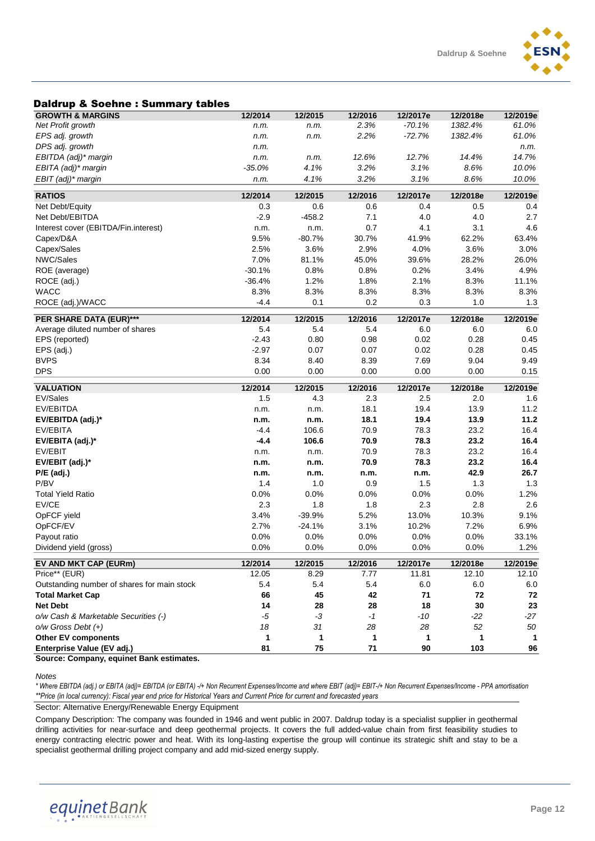# Daldrup & Soehne : Summary tables

| Daiurup & Juenne . Junninary tables         |          |          |         |          |          |              |
|---------------------------------------------|----------|----------|---------|----------|----------|--------------|
| <b>GROWTH &amp; MARGINS</b>                 | 12/2014  | 12/2015  | 12/2016 | 12/2017e | 12/2018e | 12/2019e     |
| Net Profit growth                           | n.m.     | n.m.     | 2.3%    | $-70.1%$ | 1382.4%  | 61.0%        |
| EPS adj. growth                             | n.m.     | n.m.     | 2.2%    | $-72.7%$ | 1382.4%  | 61.0%        |
| DPS adj. growth                             | n.m.     |          |         |          |          | n.m.         |
| EBITDA (adj)* margin                        | n.m.     | n.m.     | 12.6%   | 12.7%    | 14.4%    | 14.7%        |
| EBITA (adj)* margin                         | $-35.0%$ | 4.1%     | 3.2%    | 3.1%     | 8.6%     | 10.0%        |
| EBIT (adj)* margin                          | n.m.     | 4.1%     | 3.2%    | 3.1%     | 8.6%     | 10.0%        |
| <b>RATIOS</b>                               | 12/2014  | 12/2015  | 12/2016 | 12/2017e | 12/2018e | 12/2019e     |
| Net Debt/Equity                             | 0.3      | 0.6      | 0.6     | 0.4      | 0.5      | 0.4          |
| Net Debt/EBITDA                             | $-2.9$   | $-458.2$ | 7.1     | 4.0      | 4.0      | 2.7          |
| Interest cover (EBITDA/Fin.interest)        | n.m.     | n.m.     | 0.7     | 4.1      | 3.1      | 4.6          |
| Capex/D&A                                   | 9.5%     | $-80.7%$ | 30.7%   | 41.9%    | 62.2%    | 63.4%        |
| Capex/Sales                                 | 2.5%     | 3.6%     | 2.9%    | 4.0%     | 3.6%     | 3.0%         |
| NWC/Sales                                   | 7.0%     | 81.1%    | 45.0%   | 39.6%    | 28.2%    | 26.0%        |
| ROE (average)                               | $-30.1%$ | 0.8%     | 0.8%    | 0.2%     | 3.4%     | 4.9%         |
| ROCE (adj.)                                 | $-36.4%$ | 1.2%     | 1.8%    | 2.1%     | 8.3%     | 11.1%        |
| <b>WACC</b>                                 | 8.3%     | 8.3%     | 8.3%    | 8.3%     | 8.3%     | 8.3%         |
| ROCE (adj.)/WACC                            | -4.4     | 0.1      | 0.2     | 0.3      | 1.0      | 1.3          |
|                                             |          |          |         |          |          |              |
| PER SHARE DATA (EUR)***                     | 12/2014  | 12/2015  | 12/2016 | 12/2017e | 12/2018e | 12/2019e     |
| Average diluted number of shares            | 5.4      | 5.4      | 5.4     | 6.0      | 6.0      | 6.0          |
| EPS (reported)                              | $-2.43$  | 0.80     | 0.98    | 0.02     | 0.28     | 0.45         |
| EPS (adj.)                                  | $-2.97$  | 0.07     | 0.07    | 0.02     | 0.28     | 0.45         |
| <b>BVPS</b>                                 | 8.34     | 8.40     | 8.39    | 7.69     | 9.04     | 9.49         |
| <b>DPS</b>                                  | 0.00     | 0.00     | 0.00    | 0.00     | 0.00     | 0.15         |
| <b>VALUATION</b>                            | 12/2014  | 12/2015  | 12/2016 | 12/2017e | 12/2018e | 12/2019e     |
| EV/Sales                                    | 1.5      | 4.3      | 2.3     | 2.5      | 2.0      | 1.6          |
| EV/EBITDA                                   | n.m.     | n.m.     | 18.1    | 19.4     | 13.9     | 11.2         |
| EV/EBITDA (adj.)*                           | n.m.     | n.m.     | 18.1    | 19.4     | 13.9     | 11.2         |
| EV/EBITA                                    | $-4.4$   | 106.6    | 70.9    | 78.3     | 23.2     | 16.4         |
| EV/EBITA (adj.)*                            | $-4.4$   | 106.6    | 70.9    | 78.3     | 23.2     | 16.4         |
| EV/EBIT                                     | n.m.     | n.m.     | 70.9    | 78.3     | 23.2     | 16.4         |
| EV/EBIT (adj.)*                             | n.m.     | n.m.     | 70.9    | 78.3     | 23.2     | 16.4         |
| $P/E$ (adj.)                                | n.m.     | n.m.     | n.m.    | n.m.     | 42.9     | 26.7         |
| P/BV                                        | 1.4      | 1.0      | 0.9     | 1.5      | 1.3      | 1.3          |
| <b>Total Yield Ratio</b>                    | 0.0%     | 0.0%     | 0.0%    | 0.0%     | 0.0%     | 1.2%         |
| EV/CE                                       | 2.3      | 1.8      | 1.8     | 2.3      | 2.8      | 2.6          |
| OpFCF yield                                 | 3.4%     | $-39.9%$ | 5.2%    | 13.0%    | 10.3%    | 9.1%         |
| OpFCF/EV                                    | 2.7%     | $-24.1%$ | 3.1%    | 10.2%    | 7.2%     | 6.9%         |
| Payout ratio                                | 0.0%     | 0.0%     | 0.0%    | 0.0%     | 0.0%     | 33.1%        |
| Dividend yield (gross)                      | 0.0%     | 0.0%     | 0.0%    | 0.0%     | 0.0%     | 1.2%         |
| EV AND MKT CAP (EURm)                       | 12/2014  | 12/2015  | 12/2016 | 12/2017e | 12/2018e | 12/2019e     |
| Price** (EUR)                               | 12.05    | 8.29     | 7.77    | 11.81    | 12.10    | 12.10        |
| Outstanding number of shares for main stock | 5.4      | 5.4      | 5.4     | 6.0      | 6.0      | 6.0          |
| <b>Total Market Cap</b>                     | 66       | 45       | 42      | 71       | 72       | 72           |
| <b>Net Debt</b>                             | 14       | 28       | 28      | 18       | 30       | 23           |
| o/w Cash & Marketable Securities (-)        | $-5$     | $-3$     | $-1$    | $-10$    | $-22$    | $-27$        |
| $o/w$ Gross Debt $(+)$                      | 18       | 31       | 28      | 28       | 52       | 50           |
| <b>Other EV components</b>                  | 1        | 1        | 1       | 1        | 1        | $\mathbf{1}$ |
| Enterprise Value (EV adj.)                  | 81       | 75       | 71      | 90       | 103      | 96           |
| Source: Company, equinet Bank estimates.    |          |          |         |          |          |              |

*Notes*

*\* Where EBITDA (adj.) or EBITA (adj)= EBITDA (or EBITA) -/+ Non Recurrent Expenses/Income and where EBIT (adj)= EBIT-/+ Non Recurrent Expenses/Income - PPA amortisation \*\*Price (in local currency): Fiscal year end price for Historical Years and Current Price for current and forecasted years*

Sector: Alternative Energy/Renewable Energy Equipment

Company Description: The company was founded in 1946 and went public in 2007. Daldrup today is a specialist supplier in geothermal drilling activities for near-surface and deep geothermal projects. It covers the full added-value chain from first feasibility studies to energy contracting electric power and heat. With its long-lasting expertise the group will continue its strategic shift and stay to be a specialist geothermal drilling project company and add mid-sized energy supply.

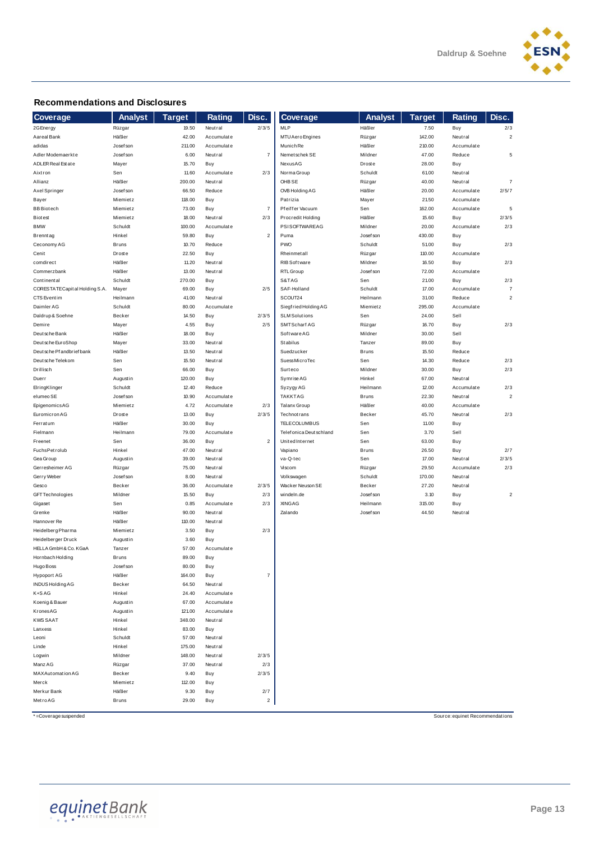

#### **Recommendations and Disclosures**

| <b>Recommendations and Disclosures</b> |                    |                |                       |                |                             |                      |                 |                                 |                |
|----------------------------------------|--------------------|----------------|-----------------------|----------------|-----------------------------|----------------------|-----------------|---------------------------------|----------------|
| Coverage                               | <b>Analyst</b>     | <b>Target</b>  | Rating                | Disc.          | Coverage                    | <b>Analyst</b>       | <b>Target</b>   | Rating                          | Disc.          |
| 2G Energy                              | Rüzgar             | 19.50          | Neutral               | 2/3/5          | MLP                         | Häßler               | 7.50            | Buy                             | 2/3            |
| Aareal Bank                            | Häßler             | 42.00          | Accumulate            |                | MTU Aero Engines            | Rüzgar               | 142.00          | Neutral                         | $\overline{2}$ |
| adidas                                 | Josef son          | 211.00         | Accumulate            |                | Munich Re                   | Häßler               | 210.00          | Accumulate                      |                |
| Adler Modemaerkte                      | Josef son          | 6.00           | Neutral               | $\overline{7}$ | Nemet schek SE              | Mildner              | 47.00           | Reduce                          | 5              |
| ADLER Real Estate                      | Mayer              | 15.70          | Buy                   |                | NexusAG                     | Drost e              | 28.00           | Buy                             |                |
| Aixtron                                | Sen                | 11.60          | Accumulate            | 2/3            | Norma Group                 | Schuldt              | 61.00           | Neutral                         |                |
| Allianz                                | Häßler             | 200.00         | Neutral               |                | OHB SE                      | Rüzgar               | 40.00           | Neutral                         | $\overline{7}$ |
| Axel Springer                          | Josef son          | 66.50          | Reduce                |                | OVB Holding AG              | Häßler               | 20.00           | Accumulate                      | 2/5/7          |
| Bayer                                  | Miemietz           | 118.00         | Buy                   |                | Patrizia                    | Mayer                | 21.50           | Accumulate                      |                |
| <b>BB</b> Biotech                      | Miemietz           | 73.00          | Buy                   | $\overline{7}$ | Pfeiffer Vacuum             | Sen                  | 162.00          | Accumulate                      | 5              |
| <b>Biotest</b>                         | Miemietz           | 18.00          | Neutral               | 2/3            | Procredit Holding           | Häßler               | 15.60           | Buy                             | 2/3/5          |
| <b>BMW</b>                             | Schuldt            | 100.00         | Accumulate            |                | <b>PSI SOFTWAREAG</b>       | Mildner              | 20.00           | Accumulate                      | 2/3            |
| <b>Brenntag</b>                        | Hinkel             | 59.80          | Buy                   | $\mathbf 2$    | Puma                        | Josef son            | 430.00          | Buy                             |                |
| Ceconomy AG                            | Bruns              | 10.70          | Reduce                |                | PWO                         | Schuldt              | 51.00           | Buy                             | 2/3            |
| Cenit                                  | Drost e<br>Häßler  | 22.50          | Buy                   |                | Rheinmetall<br>RIB Software | Rüzgar               | 110.00<br>16.50 | Accumulate                      | 2/3            |
| comdirect<br>Commerzbank               | Häßler             | 11.20<br>13.00 | Neutral<br>Neutral    |                | RTL Group                   | Mildner<br>Josef son | 72.00           | Buy<br>Accumulate               |                |
| Continental                            | Schuldt            | 270.00         | Buy                   |                | S&TAG                       | Sen                  | 21.00           | Buy                             | 2/3            |
| CORESTATE Capital Holding S.A.         | Mayer              | 69.00          | Buy                   | 2/5            | SAF-Holland                 | Schuldt              | 17.00           | Accumulate                      | $\overline{7}$ |
| CTS Eventim                            | Heilmann           | 41.00          | Neutral               |                | SCOUT24                     | Heilmann             | 31.00           | Reduce                          | $\overline{2}$ |
| Daimler AG                             | Schuldt            | 80.00          | Accumulate            |                | Siegfried Holding AG        | Miemietz             | 295.00          | Accumulate                      |                |
| Daldrup & Soehne                       | Becker             | 14.50          | Buy                   | 2/3/5          | <b>SLM Solutions</b>        | Sen                  | 24.00           | Sell                            |                |
| Demire                                 | Mayer              | 4.55           | Buy                   | 2/5            | SMTScharf AG                | Rüzgar               | 16.70           | Buy                             | 2/3            |
| Deut sche Bank                         | Häßler             | 18.00          | Buy                   |                | SoftwareAG                  | Mildner              | 30.00           | Sell                            |                |
| Deut sche EuroShop                     | Mayer              | 33.00          | Neutral               |                | Stabilus                    | Tanzer               | 89.00           | Buy                             |                |
| Deut sche Pf andbrief bank             | Häßler             | 13.50          | Neutral               |                | Suedzucker                  | <b>Bruns</b>         | 15.50           | Reduce                          |                |
| Deut sche Telekom                      | Sen                | 15.50          | Neutral               |                | SuessMicroTec               | Sen                  | 14.30           | Reduce                          | 2/3            |
| Drillisch                              | Sen                | 66.00          | Buy                   |                | Surteco                     | Mildner              | 30.00           | Buy                             | 2/3            |
| Duerr                                  | Augustin           | 120.00         | Buy                   |                | Symrise AG                  | Hinkel               | 67.00           | Neutral                         |                |
| ElringKlinger                          | Schuldt            | 12.40          | Reduce                |                | Syzygy AG                   | Heilmann             | 12.00           | Accumulate                      | 2/3            |
| elumeo SE                              | Josef son          | 10.90          | Accumulate            |                | <b>TAKKTAG</b>              | Bruns                | 22.30           | Neutral                         | $\overline{2}$ |
| EpigenomicsAG                          | Miemietz           | 4.72           | Accumulate            | 2/3            | <b>Talanx Group</b>         | Häßler               | 40.00           | Accumulate                      |                |
| Euromicron AG                          | Droste             | 13.00          | Buy                   | 2/3/5          | <b>Technotrans</b>          | Becker               | 45.70           | Neutral                         | 2/3            |
| Ferratum                               | Häßler             | 30.00          | Buy                   |                | <b>TELE COLUMBUS</b>        | Sen                  | 11.00           | Buy                             |                |
| Fielmann                               | Heilmann           | 79.00          | Accumulate            |                | Telef onica Deut schland    | Sen                  | 3.70            | Sell                            |                |
| Freenet                                | Sen                | 36.00          | Buy                   | $\overline{2}$ | United Internet             | Sen                  | 63.00           | Buy                             |                |
| Fuchs Petrolub                         | Hinkel             | 47.00          | Neutral               |                | Vapiano                     | Bruns                | 26.50           | Buy                             | 2/7            |
| Gea Group                              | Augustin           | 39.00          | Neutral               |                | va-Q-tec                    | Sen                  | 17.00           | Neutral                         | 2/3/5          |
| Gerresheimer AG                        | Rüzgar             | 75.00          | Neutral               |                | Viscom                      | Rüzgar               | 29.50           | Accumulate                      | 2/3            |
| Gerry Weber                            | Josef son          | 8.00           | Neutral               |                | Volkswagen                  | Schuldt              | 170.00          | Neutral                         |                |
| Gesco                                  | Becker             | 36.00          | Accumulate            | 2/3/5          | Wacker Neuson SE            | Becker               | 27.20           | Neutral                         |                |
| GFT Technologies                       | Mildner            | 15.50          | Buy                   | 2/3            | windeln.de                  | Josef son            | 3.10            | Buy                             | $\overline{2}$ |
| Gigaset                                | Sen                | 0.85           | Accumulate            | 2/3            | <b>XINGAG</b>               | Heilmann             | 315.00          | Buy                             |                |
| Grenke                                 | Häßler             | 90.00          | Neutral               |                | Zalando                     | Josef son            | 44.50           | Neutral                         |                |
| Hannover Re                            | Häßler             | 110.00         | Neutral               |                |                             |                      |                 |                                 |                |
| Heidelberg Pharma                      | Miemietz           | 3.50           | Buy                   | 2/3            |                             |                      |                 |                                 |                |
| Heidelberger Druck                     | Augustin           | 3.60           | Buy                   |                |                             |                      |                 |                                 |                |
| HELLA GmbH & Co. KGaA                  | Tanzer             | 57.00          | Accumulate            |                |                             |                      |                 |                                 |                |
| Hornbach Holding                       | Bruns              | 89.00          | Buy                   |                |                             |                      |                 |                                 |                |
| Hugo Boss                              | Josef son          | 80.00          | Buy                   |                |                             |                      |                 |                                 |                |
| Hypoport AG                            | Häßler             | 164.00         | Buy                   | $\overline{7}$ |                             |                      |                 |                                 |                |
| INDUS Holding AG<br>$K+SAG$            | Becker<br>Hinkel   | 64.50<br>24.40 | Neutral<br>Accumulate |                |                             |                      |                 |                                 |                |
|                                        |                    | 67.00          | Accumulate            |                |                             |                      |                 |                                 |                |
| Koenig & Bauer<br>KronesAG             | Augustin           | 121.00         | Accumulate            |                |                             |                      |                 |                                 |                |
| <b>KWS SAAT</b>                        | Augustin<br>Hinkel | 348.00         | Neutral               |                |                             |                      |                 |                                 |                |
| Lanxess                                | Hinkel             | 83.00          | Buy                   |                |                             |                      |                 |                                 |                |
| Leoni                                  | Schuldt            | 57.00          | Neutral               |                |                             |                      |                 |                                 |                |
| Linde                                  | Hinkel             | 175.00         | Neutral               |                |                             |                      |                 |                                 |                |
| Logwin                                 | Mildner            | 148.00         | Neutral               | 2/3/5          |                             |                      |                 |                                 |                |
| Manz AG                                | Rüzgar             | 37.00          | Neutral               | 2/3            |                             |                      |                 |                                 |                |
| MAXAutomation AG                       | Becker             | 9.40           | Buy                   | 2/3/5          |                             |                      |                 |                                 |                |
| Merck                                  | Miemietz           | 112.00         | Buy                   |                |                             |                      |                 |                                 |                |
| Merkur Bank                            | Häßler             | 9.30           | Buy                   | 2/7            |                             |                      |                 |                                 |                |
| MetroAG                                | <b>Bruns</b>       | 29.00          | Buy                   | $\overline{2}$ |                             |                      |                 |                                 |                |
|                                        |                    |                |                       |                |                             |                      |                 |                                 |                |
| *=Coverage suspended                   |                    |                |                       |                |                             |                      |                 | Source: equinet Recommendations |                |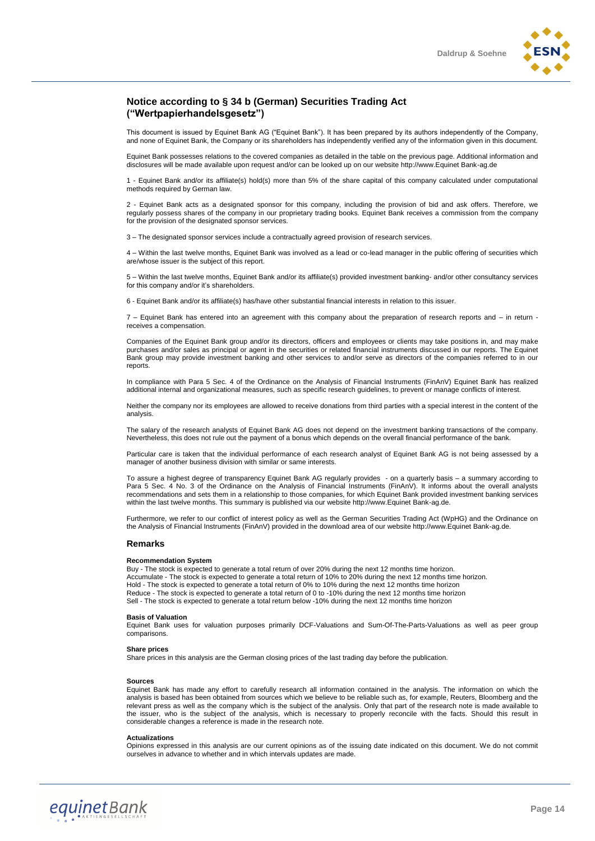#### **Notice according to § 34 b (German) Securities Trading Act ("Wertpapierhandelsgesetz")**

This document is issued by Equinet Bank AG ("Equinet Bank"). It has been prepared by its authors independently of the Company, and none of Equinet Bank, the Company or its shareholders has independently verified any of the information given in this document.

Equinet Bank possesses relations to the covered companies as detailed in the table on the previous page. Additional information and disclosures will be made available upon request and/or can be looked up on our website http://www.Equinet Bank-ag.de

1 - Equinet Bank and/or its affiliate(s) hold(s) more than 5% of the share capital of this company calculated under computational methods required by German law

2 - Equinet Bank acts as a designated sponsor for this company, including the provision of bid and ask offers. Therefore, we regularly possess shares of the company in our proprietary trading books. Equinet Bank receives a commission from the company for the provision of the designated sponsor services.

3 – The designated sponsor services include a contractually agreed provision of research services.

4 – Within the last twelve months, Equinet Bank was involved as a lead or co-lead manager in the public offering of securities which are/whose issuer is the subject of this report.

5 – Within the last twelve months, Equinet Bank and/or its affiliate(s) provided investment banking- and/or other consultancy services for this company and/or it's shareholders.

6 - Equinet Bank and/or its affiliate(s) has/have other substantial financial interests in relation to this issuer.

7 – Equinet Bank has entered into an agreement with this company about the preparation of research reports and – in return receives a compensation.

Companies of the Equinet Bank group and/or its directors, officers and employees or clients may take positions in, and may make purchases and/or sales as principal or agent in the securities or related financial instruments discussed in our reports. The Equinet Bank group may provide investment banking and other services to and/or serve as directors of the companies referred to in our reports.

In compliance with Para 5 Sec. 4 of the Ordinance on the Analysis of Financial Instruments (FinAnV) Equinet Bank has realized additional internal and organizational measures, such as specific research guidelines, to prevent or manage conflicts of interest.

Neither the company nor its employees are allowed to receive donations from third parties with a special interest in the content of the analysis.

The salary of the research analysts of Equinet Bank AG does not depend on the investment banking transactions of the company. Nevertheless, this does not rule out the payment of a bonus which depends on the overall financial performance of the bank.

Particular care is taken that the individual performance of each research analyst of Equinet Bank AG is not being assessed by a manager of another business division with similar or same interests.

To assure a highest degree of transparency Equinet Bank AG regularly provides - on a quarterly basis – a summary according to Para 5 Sec. 4 No. 3 of the Ordinance on the Analysis of Financial Instruments (FinAnV). It informs about the overall analysts recommendations and sets them in a relationship to those companies, for which Equinet Bank provided investment banking services within the last twelve months. This summary is published via our website http://www.Equinet Bank-ag.de.

Furthermore, we refer to our conflict of interest policy as well as the German Securities Trading Act (WpHG) and the Ordinance on the Analysis of Financial Instruments (FinAnV) provided in the download area of our website http://www.Equinet Bank-ag.de.

#### **Remarks**

#### **Recommendation System**

Buy - The stock is expected to generate a total return of over 20% during the next 12 months time horizon. Accumulate - The stock is expected to generate a total return of 10% to 20% during the next 12 months time horizon. Hold - The stock is expected to generate a total return of 0% to 10% during the next 12 months time horizon Reduce - The stock is expected to generate a total return of 0 to -10% during the next 12 months time horizon Sell - The stock is expected to generate a total return below -10% during the next 12 months time horizon

#### **Basis of Valuation**

Equinet Bank uses for valuation purposes primarily DCF-Valuations and Sum-Of-The-Parts-Valuations as well as peer group comparisons.

#### **Share prices**

Share prices in this analysis are the German closing prices of the last trading day before the publication.

#### **Sources**

Equinet Bank has made any effort to carefully research all information contained in the analysis. The information on which the analysis is based has been obtained from sources which we believe to be reliable such as, for example, Reuters, Bloomberg and the relevant press as well as the company which is the subject of the analysis. Only that part of the research note is made available to the issuer, who is the subject of the analysis, which is necessary to properly reconcile with the facts. Should this result in considerable changes a reference is made in the research note.

#### **Actualizations**

Opinions expressed in this analysis are our current opinions as of the issuing date indicated on this document. We do not commit ourselves in advance to whether and in which intervals updates are made.

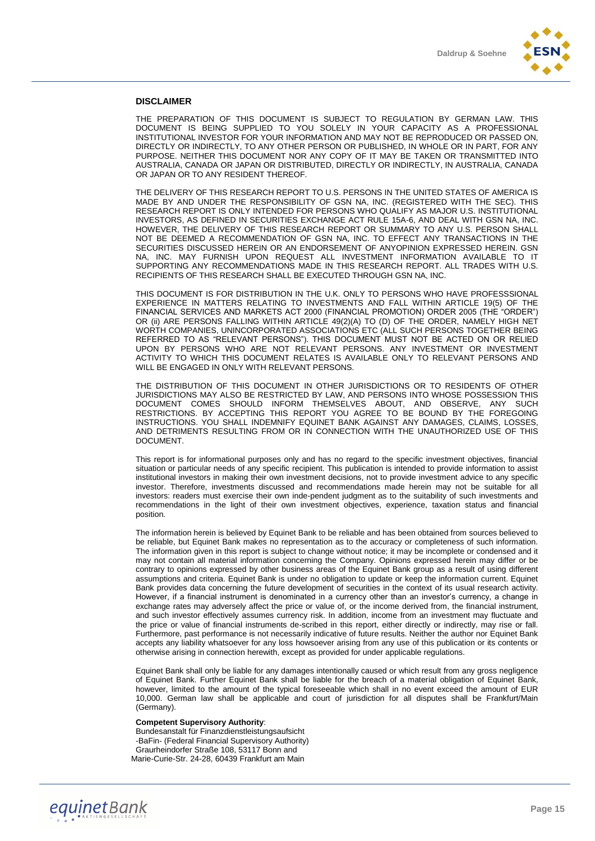

#### **DISCLAIMER**

THE PREPARATION OF THIS DOCUMENT IS SUBJECT TO REGULATION BY GERMAN LAW. THIS DOCUMENT IS BEING SUPPLIED TO YOU SOLELY IN YOUR CAPACITY AS A PROFESSIONAL INSTITUTIONAL INVESTOR FOR YOUR INFORMATION AND MAY NOT BE REPRODUCED OR PASSED ON, DIRECTLY OR INDIRECTLY, TO ANY OTHER PERSON OR PUBLISHED, IN WHOLE OR IN PART, FOR ANY PURPOSE. NEITHER THIS DOCUMENT NOR ANY COPY OF IT MAY BE TAKEN OR TRANSMITTED INTO AUSTRALIA, CANADA OR JAPAN OR DISTRIBUTED, DIRECTLY OR INDIRECTLY, IN AUSTRALIA, CANADA OR JAPAN OR TO ANY RESIDENT THEREOF.

THE DELIVERY OF THIS RESEARCH REPORT TO U.S. PERSONS IN THE UNITED STATES OF AMERICA IS MADE BY AND UNDER THE RESPONSIBILITY OF GSN NA, INC. (REGISTERED WITH THE SEC). THIS RESEARCH REPORT IS ONLY INTENDED FOR PERSONS WHO QUALIFY AS MAJOR U.S. INSTITUTIONAL INVESTORS, AS DEFINED IN SECURITIES EXCHANGE ACT RULE 15A-6, AND DEAL WITH GSN NA, INC. HOWEVER, THE DELIVERY OF THIS RESEARCH REPORT OR SUMMARY TO ANY U.S. PERSON SHALL NOT BE DEEMED A RECOMMENDATION OF GSN NA, INC. TO EFFECT ANY TRANSACTIONS IN THE SECURITIES DISCUSSED HEREIN OR AN ENDORSEMENT OF ANYOPINION EXPRESSED HEREIN. GSN NA, INC. MAY FURNISH UPON REQUEST ALL INVESTMENT INFORMATION AVAILABLE TO IT SUPPORTING ANY RECOMMENDATIONS MADE IN THIS RESEARCH REPORT. ALL TRADES WITH U.S. RECIPIENTS OF THIS RESEARCH SHALL BE EXECUTED THROUGH GSN NA, INC.

THIS DOCUMENT IS FOR DISTRIBUTION IN THE U.K. ONLY TO PERSONS WHO HAVE PROFESSSIONAL EXPERIENCE IN MATTERS RELATING TO INVESTMENTS AND FALL WITHIN ARTICLE 19(5) OF THE FINANCIAL SERVICES AND MARKETS ACT 2000 (FINANCIAL PROMOTION) ORDER 2005 (THE "ORDER") OR (ii) ARE PERSONS FALLING WITHIN ARTICLE 49(2)(A) TO (D) OF THE ORDER, NAMELY HIGH NET WORTH COMPANIES, UNINCORPORATED ASSOCIATIONS ETC (ALL SUCH PERSONS TOGETHER BEING REFERRED TO AS "RELEVANT PERSONS"). THIS DOCUMENT MUST NOT BE ACTED ON OR RELIED UPON BY PERSONS WHO ARE NOT RELEVANT PERSONS. ANY INVESTMENT OR INVESTMENT ACTIVITY TO WHICH THIS DOCUMENT RELATES IS AVAILABLE ONLY TO RELEVANT PERSONS AND WILL BE ENGAGED IN ONLY WITH RELEVANT PERSONS.

THE DISTRIBUTION OF THIS DOCUMENT IN OTHER JURISDICTIONS OR TO RESIDENTS OF OTHER JURISDICTIONS MAY ALSO BE RESTRICTED BY LAW, AND PERSONS INTO WHOSE POSSESSION THIS DOCUMENT COMES SHOULD INFORM THEMSELVES ABOUT, AND OBSERVE, ANY SUCH RESTRICTIONS. BY ACCEPTING THIS REPORT YOU AGREE TO BE BOUND BY THE FOREGOING INSTRUCTIONS. YOU SHALL INDEMNIFY EQUINET BANK AGAINST ANY DAMAGES, CLAIMS, LOSSES, AND DETRIMENTS RESULTING FROM OR IN CONNECTION WITH THE UNAUTHORIZED USE OF THIS DOCUMENT.

This report is for informational purposes only and has no regard to the specific investment objectives, financial situation or particular needs of any specific recipient. This publication is intended to provide information to assist institutional investors in making their own investment decisions, not to provide investment advice to any specific investor. Therefore, investments discussed and recommendations made herein may not be suitable for all investors: readers must exercise their own inde-pendent judgment as to the suitability of such investments and recommendations in the light of their own investment objectives, experience, taxation status and financial position.

The information herein is believed by Equinet Bank to be reliable and has been obtained from sources believed to be reliable, but Equinet Bank makes no representation as to the accuracy or completeness of such information. The information given in this report is subject to change without notice; it may be incomplete or condensed and it may not contain all material information concerning the Company. Opinions expressed herein may differ or be contrary to opinions expressed by other business areas of the Equinet Bank group as a result of using different assumptions and criteria. Equinet Bank is under no obligation to update or keep the information current. Equinet Bank provides data concerning the future development of securities in the context of its usual research activity. However, if a financial instrument is denominated in a currency other than an investor's currency, a change in exchange rates may adversely affect the price or value of, or the income derived from, the financial instrument, and such investor effectively assumes currency risk. In addition, income from an investment may fluctuate and the price or value of financial instruments de-scribed in this report, either directly or indirectly, may rise or fall. Furthermore, past performance is not necessarily indicative of future results. Neither the author nor Equinet Bank accepts any liability whatsoever for any loss howsoever arising from any use of this publication or its contents or otherwise arising in connection herewith, except as provided for under applicable regulations.

Equinet Bank shall only be liable for any damages intentionally caused or which result from any gross negligence of Equinet Bank. Further Equinet Bank shall be liable for the breach of a material obligation of Equinet Bank, however, limited to the amount of the typical foreseeable which shall in no event exceed the amount of EUR 10,000. German law shall be applicable and court of jurisdiction for all disputes shall be Frankfurt/Main (Germany).

#### **Competent Supervisory Authority**:

Bundesanstalt für Finanzdienstleistungsaufsicht -BaFin- (Federal Financial Supervisory Authority) Graurheindorfer Straße 108, 53117 Bonn and Marie-Curie-Str. 24-28, 60439 Frankfurt am Main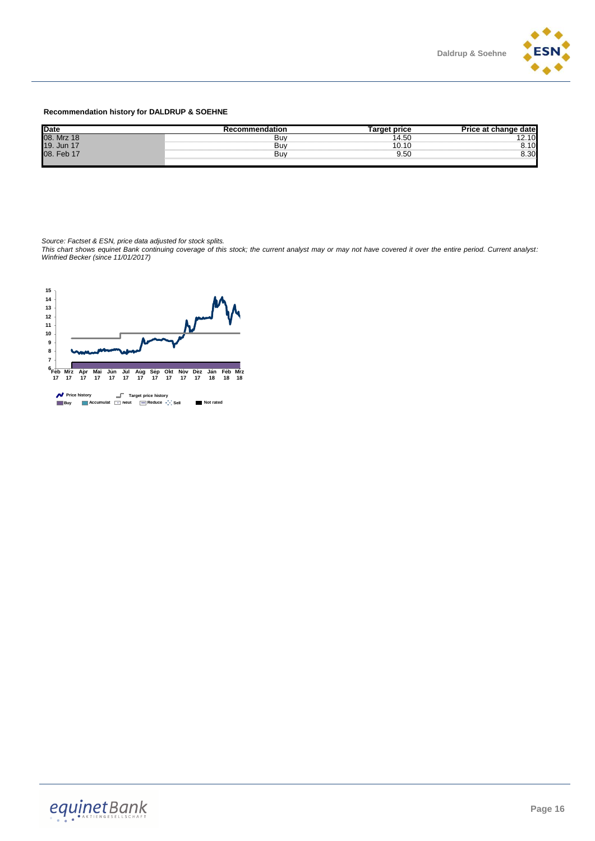

#### **Recommendation history for DALDRUP & SOEHNE**

| <b>Date</b> | ≀ecommendation | t price<br>. .               | date<br>- הי           |
|-------------|----------------|------------------------------|------------------------|
| 08. Mrz 18  | Bư             | 14.50                        | $\sim$<br>. <u>.</u> . |
| 19. Jun 17  | Bư             | $\sim$<br>U.                 | $\epsilon$<br>u<br>. . |
| 08. Feb 1   | Bư             | $\sim$ $\sim$ $\sim$<br>9.50 | 0.00                   |
|             |                |                              |                        |

*Source: Factset & ESN, price data adjusted for stock splits.*

*This chart shows equinet Bank continuing coverage of this stock; the current analyst may or may not have covered it over the entire period. Current analyst: Winfried Becker (since 11/01/2017)*

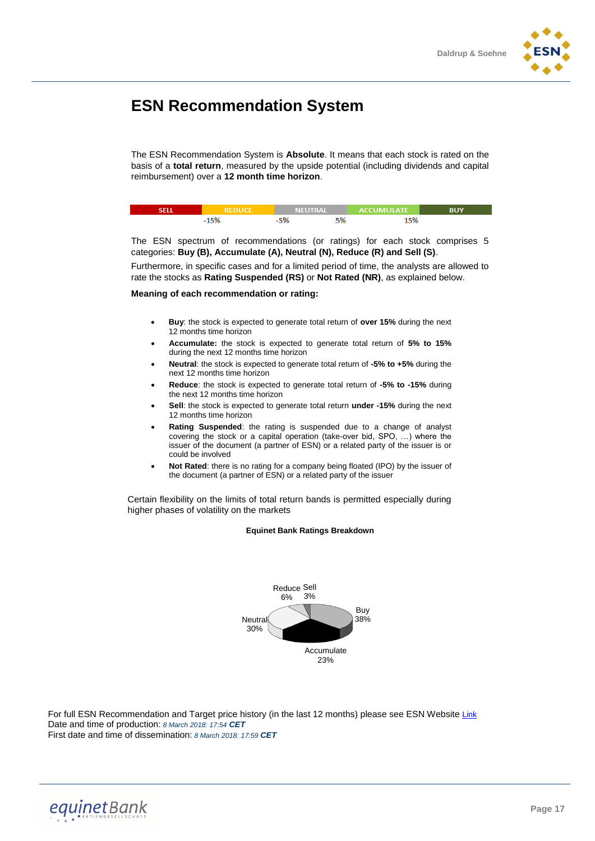

# **ESN Recommendation System**

The ESN Recommendation System is **Absolute**. It means that each stock is rated on the basis of a **total return**, measured by the upside potential (including dividends and capital reimbursement) over a **12 month time horizon**.

| REDHCE. |     | NEUTRAL ACCUMULATE |  |
|---------|-----|--------------------|--|
|         | -n. | EQ                 |  |

The ESN spectrum of recommendations (or ratings) for each stock comprises 5 categories: **Buy (B), Accumulate (A), Neutral (N), Reduce (R) and Sell (S)**.

Furthermore, in specific cases and for a limited period of time, the analysts are allowed to rate the stocks as **Rating Suspended (RS)** or **Not Rated (NR)**, as explained below.

#### **Meaning of each recommendation or rating:**

- **Buy**: the stock is expected to generate total return of **over 15%** during the next 12 months time horizon
- **Accumulate:** the stock is expected to generate total return of **5% to 15%** during the next 12 months time horizon
- **Neutral**: the stock is expected to generate total return of **-5% to +5%** during the next 12 months time horizon
- **Reduce**: the stock is expected to generate total return of **-5% to -15%** during the next 12 months time horizon
- **Sell**: the stock is expected to generate total return **under -15%** during the next 12 months time horizon
- **Rating Suspended**: the rating is suspended due to a change of analyst covering the stock or a capital operation (take-over bid, SPO, …) where the issuer of the document (a partner of ESN) or a related party of the issuer is or could be involved
- **Not Rated**: there is no rating for a company being floated (IPO) by the issuer of the document (a partner of ESN) or a related party of the issuer

Certain flexibility on the limits of total return bands is permitted especially during higher phases of volatility on the markets

#### **Equinet Bank Ratings Breakdown**



For full ESN Recommendation and Target price history (in the last 12 months) please see ESN Website [Link](http://www.esnpartnership.eu/research_and_database_access) Date and time of production: *8 March 2018: 17:54 CET* First date and time of dissemination: *8 March 2018: 17:59 CET*